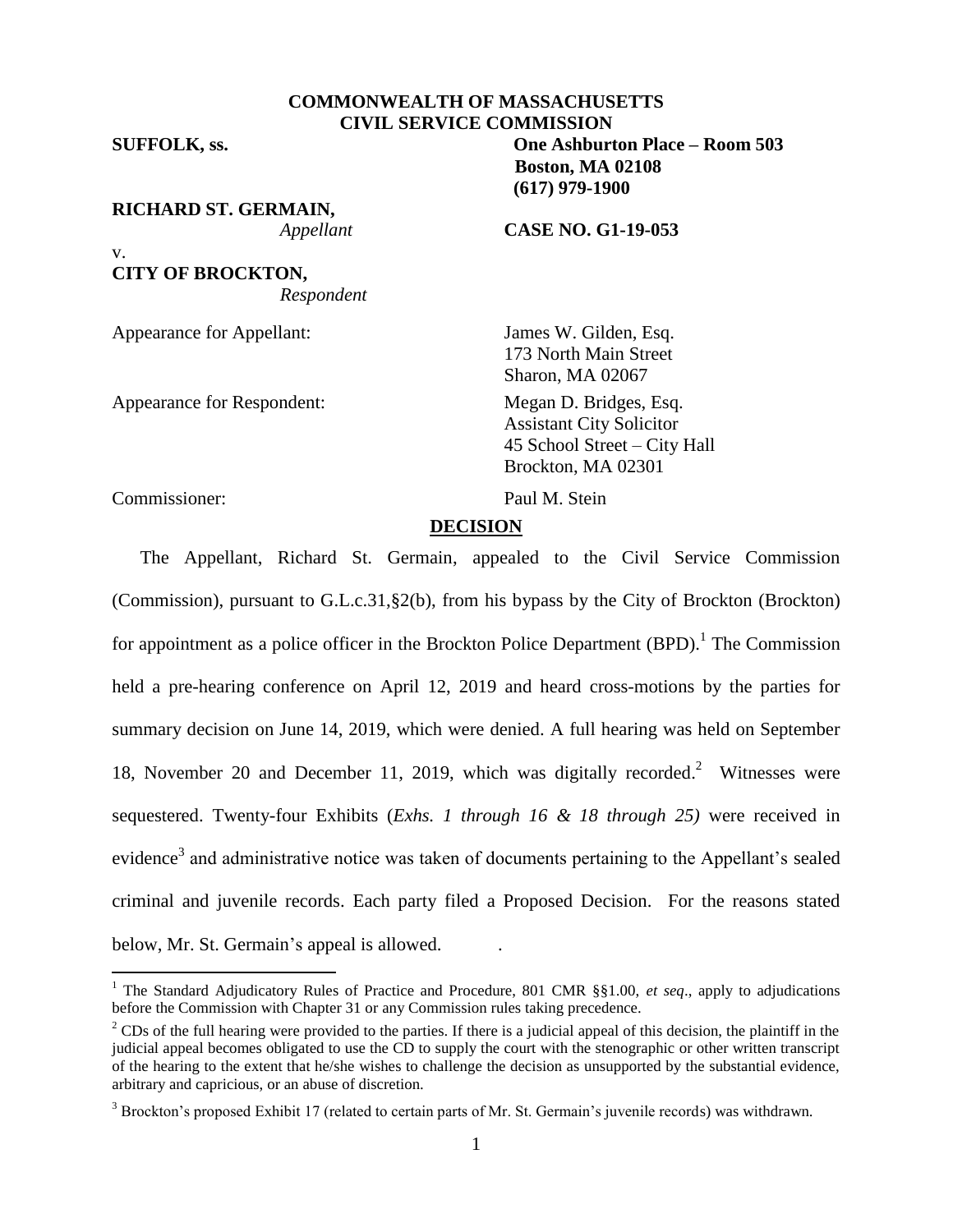## **COMMONWEALTH OF MASSACHUSETTS CIVIL SERVICE COMMISSION**

v.

 $\overline{a}$ 

**RICHARD ST. GERMAIN,**

**CITY OF BROCKTON,** *Respondent*

Appearance for Appellant: James W. Gilden, Esq.

Appearance for Respondent: Megan D. Bridges, Esq.

**SUFFOLK, ss. One Ashburton Place – Room 503 Boston, MA 02108 (617) 979-1900**

*Appellant* **CASE NO. G1-19-053**

173 North Main Street Sharon, MA 02067

Assistant City Solicitor 45 School Street – City Hall Brockton, MA 02301

Commissioner: Paul M. Stein

# **DECISION**

The Appellant, Richard St. Germain, appealed to the Civil Service Commission (Commission), pursuant to G.L.c.31,§2(b), from his bypass by the City of Brockton (Brockton) for appointment as a police officer in the Brockton Police Department (BPD).<sup>1</sup> The Commission held a pre-hearing conference on April 12, 2019 and heard cross-motions by the parties for summary decision on June 14, 2019, which were denied. A full hearing was held on September 18, November 20 and December 11, 2019, which was digitally recorded. <sup>2</sup> Witnesses were sequestered. Twenty-four Exhibits (*Exhs. 1 through 16 & 18 through 25)* were received in evidence<sup>3</sup> and administrative notice was taken of documents pertaining to the Appellant's sealed criminal and juvenile records. Each party filed a Proposed Decision. For the reasons stated below, Mr. St. Germain's appeal is allowed. .

<sup>1</sup> The Standard Adjudicatory Rules of Practice and Procedure, 801 CMR §§1.00, *et seq*., apply to adjudications before the Commission with Chapter 31 or any Commission rules taking precedence.

<sup>&</sup>lt;sup>2</sup> CDs of the full hearing were provided to the parties. If there is a judicial appeal of this decision, the plaintiff in the judicial appeal becomes obligated to use the CD to supply the court with the stenographic or other written transcript of the hearing to the extent that he/she wishes to challenge the decision as unsupported by the substantial evidence, arbitrary and capricious, or an abuse of discretion.

<sup>&</sup>lt;sup>3</sup> Brockton's proposed Exhibit 17 (related to certain parts of Mr. St. Germain's juvenile records) was withdrawn.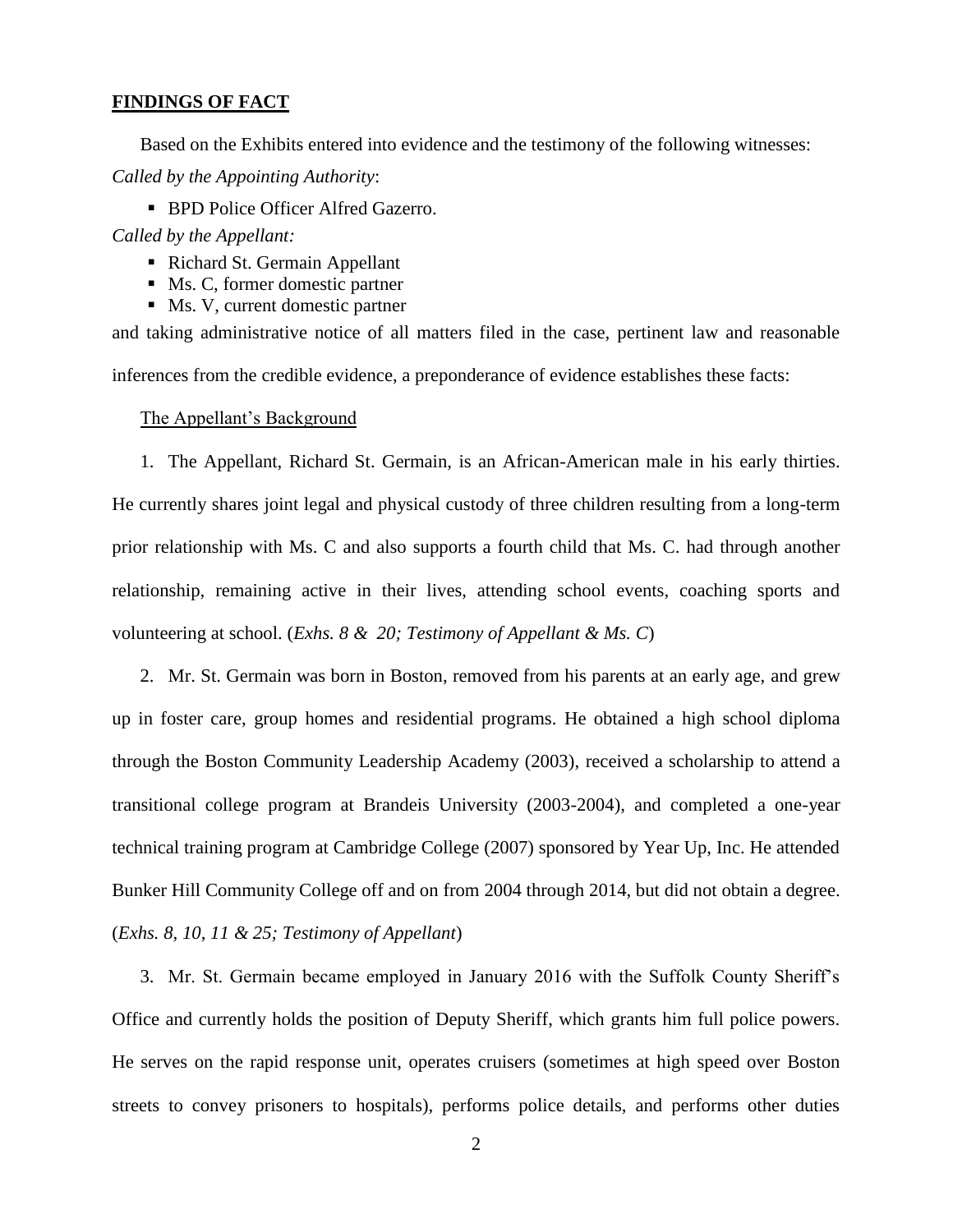# **FINDINGS OF FACT**

Based on the Exhibits entered into evidence and the testimony of the following witnesses: *Called by the Appointing Authority*:

**BPD Police Officer Alfred Gazerro.** 

*Called by the Appellant:*

- Richard St. Germain Appellant
- Ms. C, former domestic partner
- Ms. V, current domestic partner

and taking administrative notice of all matters filed in the case, pertinent law and reasonable inferences from the credible evidence, a preponderance of evidence establishes these facts:

#### The Appellant's Background

1. The Appellant, Richard St. Germain, is an African-American male in his early thirties. He currently shares joint legal and physical custody of three children resulting from a long-term prior relationship with Ms. C and also supports a fourth child that Ms. C. had through another relationship, remaining active in their lives, attending school events, coaching sports and volunteering at school. (*Exhs. 8 & 20; Testimony of Appellant & Ms. C*)

2. Mr. St. Germain was born in Boston, removed from his parents at an early age, and grew up in foster care, group homes and residential programs. He obtained a high school diploma through the Boston Community Leadership Academy (2003), received a scholarship to attend a transitional college program at Brandeis University (2003-2004), and completed a one-year technical training program at Cambridge College (2007) sponsored by Year Up, Inc. He attended Bunker Hill Community College off and on from 2004 through 2014, but did not obtain a degree. (*Exhs. 8, 10, 11 & 25; Testimony of Appellant*)

3. Mr. St. Germain became employed in January 2016 with the Suffolk County Sheriff's Office and currently holds the position of Deputy Sheriff, which grants him full police powers. He serves on the rapid response unit, operates cruisers (sometimes at high speed over Boston streets to convey prisoners to hospitals), performs police details, and performs other duties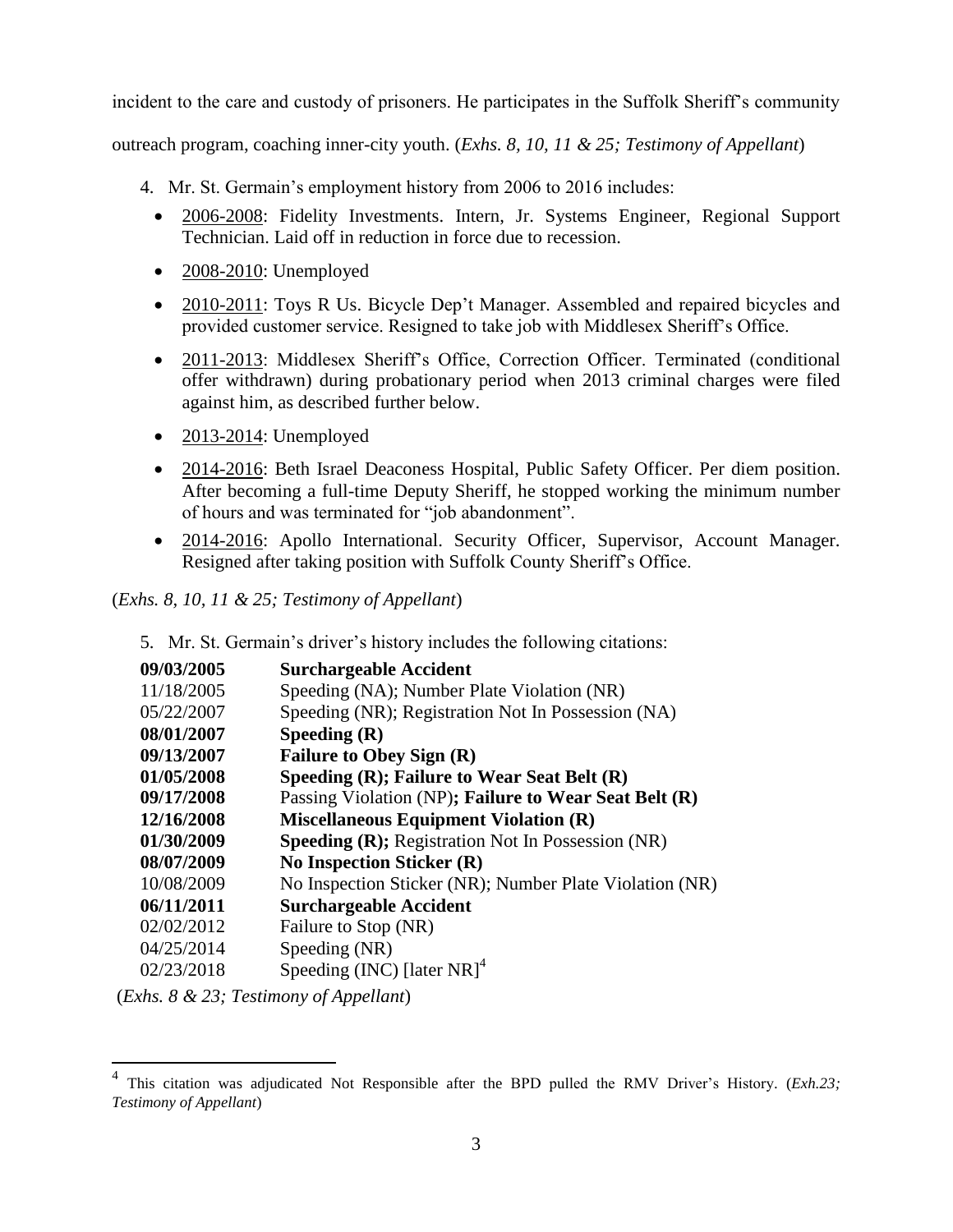incident to the care and custody of prisoners. He participates in the Suffolk Sheriff's community

outreach program, coaching inner-city youth. (*Exhs. 8, 10, 11 & 25; Testimony of Appellant*)

- 4. Mr. St. Germain's employment history from 2006 to 2016 includes:
	- 2006-2008: Fidelity Investments. Intern, Jr. Systems Engineer, Regional Support Technician. Laid off in reduction in force due to recession.
	- 2008-2010: Unemployed
	- 2010-2011: Toys R Us. Bicycle Dep't Manager. Assembled and repaired bicycles and provided customer service. Resigned to take job with Middlesex Sheriff's Office.
	- 2011-2013: Middlesex Sheriff's Office, Correction Officer. Terminated (conditional offer withdrawn) during probationary period when 2013 criminal charges were filed against him, as described further below.
	- $\bullet$  2013-2014: Unemployed
	- 2014-2016: Beth Israel Deaconess Hospital, Public Safety Officer. Per diem position. After becoming a full-time Deputy Sheriff, he stopped working the minimum number of hours and was terminated for "job abandonment".
	- 2014-2016: Apollo International. Security Officer, Supervisor, Account Manager. Resigned after taking position with Suffolk County Sheriff's Office.

(*Exhs. 8, 10, 11 & 25; Testimony of Appellant*)

5. Mr. St. Germain's driver's history includes the following citations:

| 09/03/2005 | <b>Surchargeable Accident</b>                            |
|------------|----------------------------------------------------------|
| 11/18/2005 | Speeding (NA); Number Plate Violation (NR)               |
| 05/22/2007 | Speeding (NR); Registration Not In Possession (NA)       |
| 08/01/2007 | Speeding $(R)$                                           |
| 09/13/2007 | <b>Failure to Obey Sign (R)</b>                          |
| 01/05/2008 | Speeding (R); Failure to Wear Seat Belt (R)              |
| 09/17/2008 | Passing Violation (NP); Failure to Wear Seat Belt (R)    |
| 12/16/2008 | <b>Miscellaneous Equipment Violation (R)</b>             |
| 01/30/2009 | <b>Speeding (R); Registration Not In Possession (NR)</b> |
| 08/07/2009 | <b>No Inspection Sticker (R)</b>                         |
| 10/08/2009 | No Inspection Sticker (NR); Number Plate Violation (NR)  |
| 06/11/2011 | <b>Surchargeable Accident</b>                            |
| 02/02/2012 | Failure to Stop (NR)                                     |
| 04/25/2014 | Speeding (NR)                                            |
| 02/23/2018 | Speeding (INC) [later $NR$ ] <sup>4</sup>                |

(*Exhs. 8 & 23; Testimony of Appellant*)

 $\overline{a}$ 

<sup>4</sup> This citation was adjudicated Not Responsible after the BPD pulled the RMV Driver's History. (*Exh.23; Testimony of Appellant*)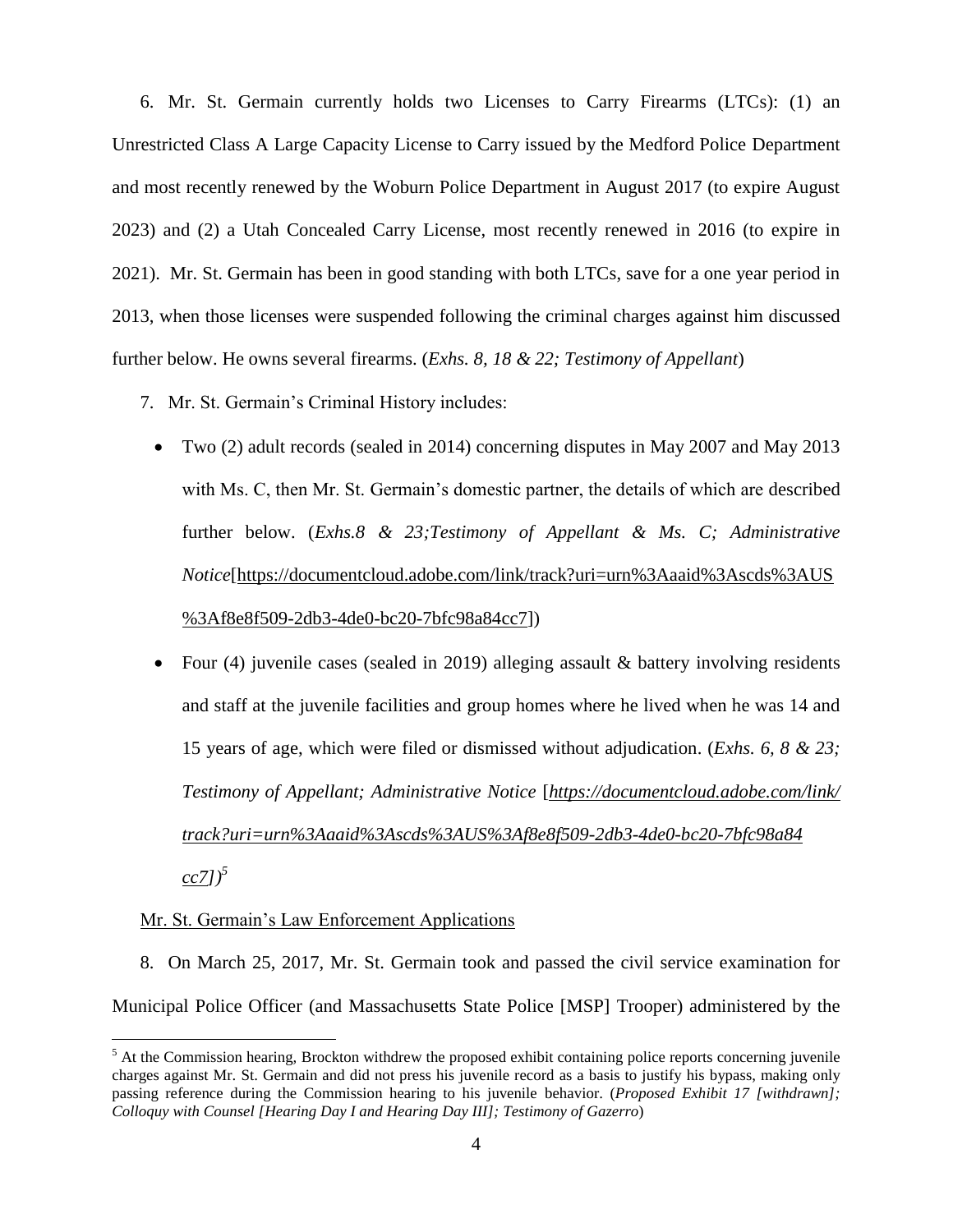6. Mr. St. Germain currently holds two Licenses to Carry Firearms (LTCs): (1) an Unrestricted Class A Large Capacity License to Carry issued by the Medford Police Department and most recently renewed by the Woburn Police Department in August 2017 (to expire August 2023) and (2) a Utah Concealed Carry License, most recently renewed in 2016 (to expire in 2021). Mr. St. Germain has been in good standing with both LTCs, save for a one year period in 2013, when those licenses were suspended following the criminal charges against him discussed further below. He owns several firearms. (*Exhs. 8, 18 & 22; Testimony of Appellant*)

- 7. Mr. St. Germain's Criminal History includes:
	- Two (2) adult records (sealed in 2014) concerning disputes in May 2007 and May 2013 with Ms. C, then Mr. St. Germain's domestic partner, the details of which are described further below. (*Exhs.8 & 23;Testimony of Appellant & Ms. C; Administrative Notice*[\[https://documentcloud.adobe.com/link/track?uri=urn%3Aaaid%3Ascds%3AUS](https://documentcloud.adobe.com/link/track?uri=urn%3Aaaid%3Ascds%3AUS%20%3Af8e8f509-2db3-4de0-bc20-7bfc98a84cc7)  [%3Af8e8f509-2db3-4de0-bc20-7bfc98a84cc7\]](https://documentcloud.adobe.com/link/track?uri=urn%3Aaaid%3Ascds%3AUS%20%3Af8e8f509-2db3-4de0-bc20-7bfc98a84cc7))
	- Four (4) juvenile cases (sealed in 2019) alleging assault  $\&$  battery involving residents and staff at the juvenile facilities and group homes where he lived when he was 14 and 15 years of age, which were filed or dismissed without adjudication. (*Exhs. 6, 8 & 23; Testimony of Appellant; Administrative Notice* [*[https://documentcloud.adobe.com/link/](https://documentcloud.adobe.com/link/%20track?uri=urn%3Aaaid%3Ascds%3AUS%3Af8e8f509-2db3-4de0-bc20-7bfc98a84%20cc7)  [track?uri=urn%3Aaaid%3Ascds%3AUS%3Af8e8f509-2db3-4de0-bc20-7bfc98a84](https://documentcloud.adobe.com/link/%20track?uri=urn%3Aaaid%3Ascds%3AUS%3Af8e8f509-2db3-4de0-bc20-7bfc98a84%20cc7)*   $\left[ c \right]$ <sup>5</sup>

# Mr. St. Germain's Law Enforcement Applications

 $\overline{a}$ 

8. On March 25, 2017, Mr. St. Germain took and passed the civil service examination for Municipal Police Officer (and Massachusetts State Police [MSP] Trooper) administered by the

<sup>&</sup>lt;sup>5</sup> At the Commission hearing, Brockton withdrew the proposed exhibit containing police reports concerning juvenile charges against Mr. St. Germain and did not press his juvenile record as a basis to justify his bypass, making only passing reference during the Commission hearing to his juvenile behavior. (*Proposed Exhibit 17 [withdrawn]; Colloquy with Counsel [Hearing Day I and Hearing Day III]; Testimony of Gazerro*)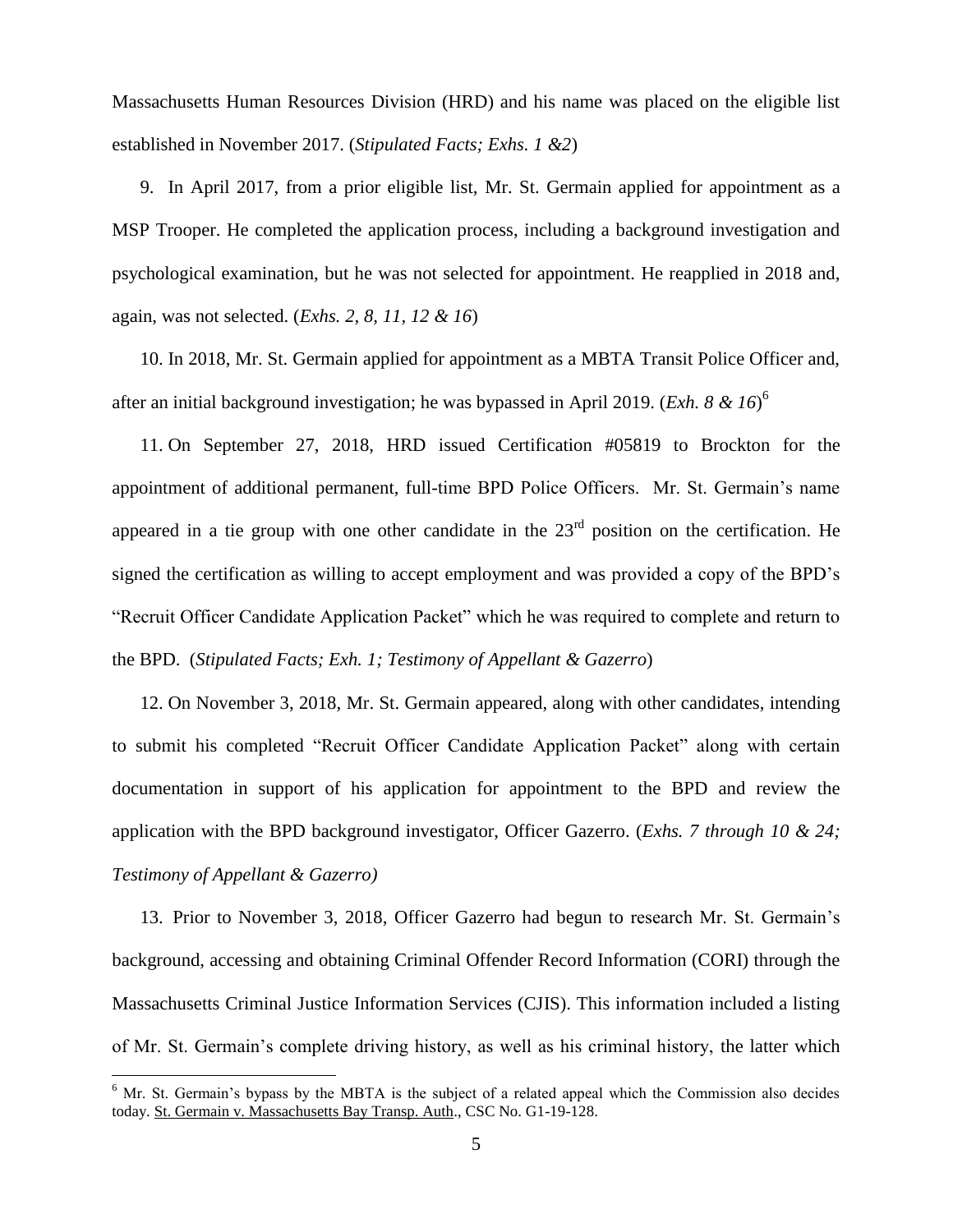Massachusetts Human Resources Division (HRD) and his name was placed on the eligible list established in November 2017. (*Stipulated Facts; Exhs. 1 &2*)

9. In April 2017, from a prior eligible list, Mr. St. Germain applied for appointment as a MSP Trooper. He completed the application process, including a background investigation and psychological examination, but he was not selected for appointment. He reapplied in 2018 and, again, was not selected. (*Exhs. 2, 8, 11, 12 & 16*)

10. In 2018, Mr. St. Germain applied for appointment as a MBTA Transit Police Officer and, after an initial background investigation; he was bypassed in April 2019. (*Exh. 8 & 16*) 6

11. On September 27, 2018, HRD issued Certification #05819 to Brockton for the appointment of additional permanent, full-time BPD Police Officers. Mr. St. Germain's name appeared in a tie group with one other candidate in the  $23<sup>rd</sup>$  position on the certification. He signed the certification as willing to accept employment and was provided a copy of the BPD's "Recruit Officer Candidate Application Packet" which he was required to complete and return to the BPD. (*Stipulated Facts; Exh. 1; Testimony of Appellant & Gazerro*)

12. On November 3, 2018, Mr. St. Germain appeared, along with other candidates, intending to submit his completed "Recruit Officer Candidate Application Packet" along with certain documentation in support of his application for appointment to the BPD and review the application with the BPD background investigator, Officer Gazerro. (*Exhs. 7 through 10 & 24; Testimony of Appellant & Gazerro)*

13. Prior to November 3, 2018, Officer Gazerro had begun to research Mr. St. Germain's background, accessing and obtaining Criminal Offender Record Information (CORI) through the Massachusetts Criminal Justice Information Services (CJIS). This information included a listing of Mr. St. Germain's complete driving history, as well as his criminal history, the latter which

 $\overline{a}$ 

 $6$  Mr. St. Germain's bypass by the MBTA is the subject of a related appeal which the Commission also decides today. St. Germain v. Massachusetts Bay Transp. Auth., CSC No. G1-19-128.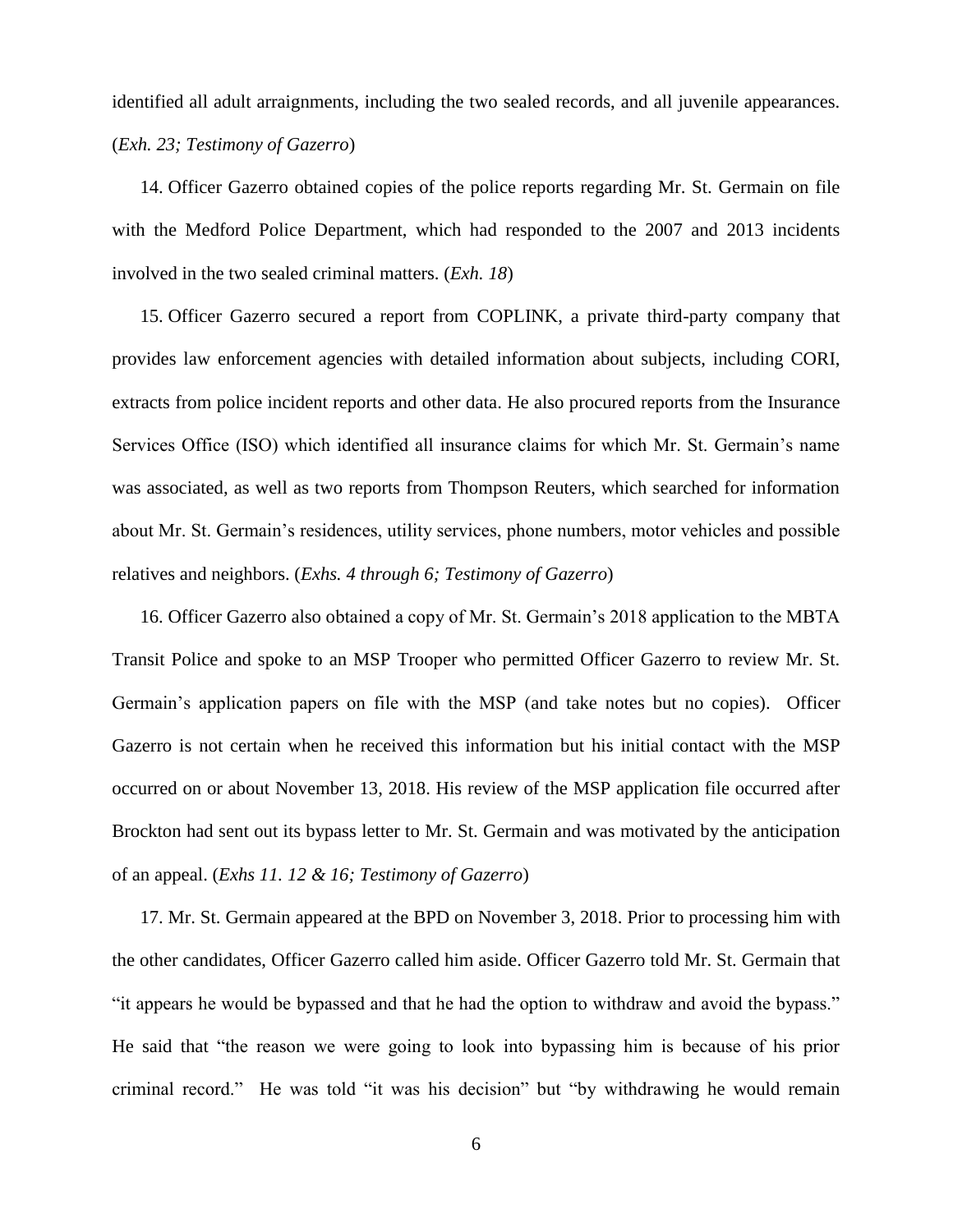identified all adult arraignments, including the two sealed records, and all juvenile appearances. (*Exh. 23; Testimony of Gazerro*)

14. Officer Gazerro obtained copies of the police reports regarding Mr. St. Germain on file with the Medford Police Department, which had responded to the 2007 and 2013 incidents involved in the two sealed criminal matters. (*Exh. 18*)

15. Officer Gazerro secured a report from COPLINK, a private third-party company that provides law enforcement agencies with detailed information about subjects, including CORI, extracts from police incident reports and other data. He also procured reports from the Insurance Services Office (ISO) which identified all insurance claims for which Mr. St. Germain's name was associated, as well as two reports from Thompson Reuters, which searched for information about Mr. St. Germain's residences, utility services, phone numbers, motor vehicles and possible relatives and neighbors. (*Exhs. 4 through 6; Testimony of Gazerro*)

16. Officer Gazerro also obtained a copy of Mr. St. Germain's 2018 application to the MBTA Transit Police and spoke to an MSP Trooper who permitted Officer Gazerro to review Mr. St. Germain's application papers on file with the MSP (and take notes but no copies). Officer Gazerro is not certain when he received this information but his initial contact with the MSP occurred on or about November 13, 2018. His review of the MSP application file occurred after Brockton had sent out its bypass letter to Mr. St. Germain and was motivated by the anticipation of an appeal. (*Exhs 11. 12 & 16; Testimony of Gazerro*)

17. Mr. St. Germain appeared at the BPD on November 3, 2018. Prior to processing him with the other candidates, Officer Gazerro called him aside. Officer Gazerro told Mr. St. Germain that "it appears he would be bypassed and that he had the option to withdraw and avoid the bypass." He said that "the reason we were going to look into bypassing him is because of his prior criminal record." He was told "it was his decision" but "by withdrawing he would remain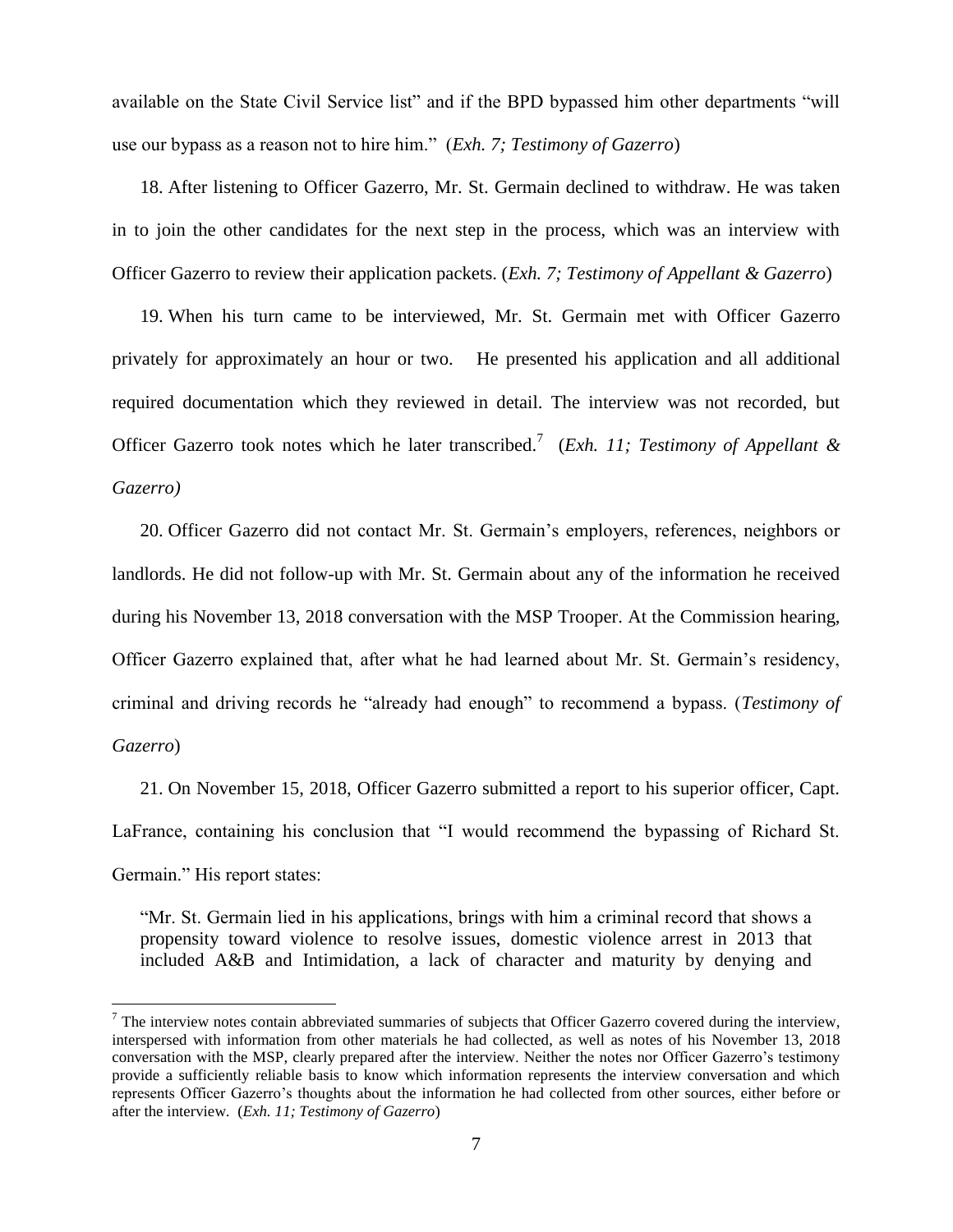available on the State Civil Service list" and if the BPD bypassed him other departments "will use our bypass as a reason not to hire him." (*Exh. 7; Testimony of Gazerro*)

18. After listening to Officer Gazerro, Mr. St. Germain declined to withdraw. He was taken in to join the other candidates for the next step in the process, which was an interview with Officer Gazerro to review their application packets. (*Exh. 7; Testimony of Appellant & Gazerro*)

19. When his turn came to be interviewed, Mr. St. Germain met with Officer Gazerro privately for approximately an hour or two. He presented his application and all additional required documentation which they reviewed in detail. The interview was not recorded, but Officer Gazerro took notes which he later transcribed. 7 (*Exh. 11; Testimony of Appellant & Gazerro)*

20. Officer Gazerro did not contact Mr. St. Germain's employers, references, neighbors or landlords. He did not follow-up with Mr. St. Germain about any of the information he received during his November 13, 2018 conversation with the MSP Trooper. At the Commission hearing, Officer Gazerro explained that, after what he had learned about Mr. St. Germain's residency, criminal and driving records he "already had enough" to recommend a bypass. (*Testimony of Gazerro*)

21. On November 15, 2018, Officer Gazerro submitted a report to his superior officer, Capt. LaFrance, containing his conclusion that "I would recommend the bypassing of Richard St. Germain." His report states:

"Mr. St. Germain lied in his applications, brings with him a criminal record that shows a propensity toward violence to resolve issues, domestic violence arrest in 2013 that included A&B and Intimidation, a lack of character and maturity by denying and

 $\overline{a}$ 

 $<sup>7</sup>$  The interview notes contain abbreviated summaries of subjects that Officer Gazerro covered during the interview,</sup> interspersed with information from other materials he had collected, as well as notes of his November 13, 2018 conversation with the MSP, clearly prepared after the interview. Neither the notes nor Officer Gazerro's testimony provide a sufficiently reliable basis to know which information represents the interview conversation and which represents Officer Gazerro's thoughts about the information he had collected from other sources, either before or after the interview. (*Exh. 11; Testimony of Gazerro*)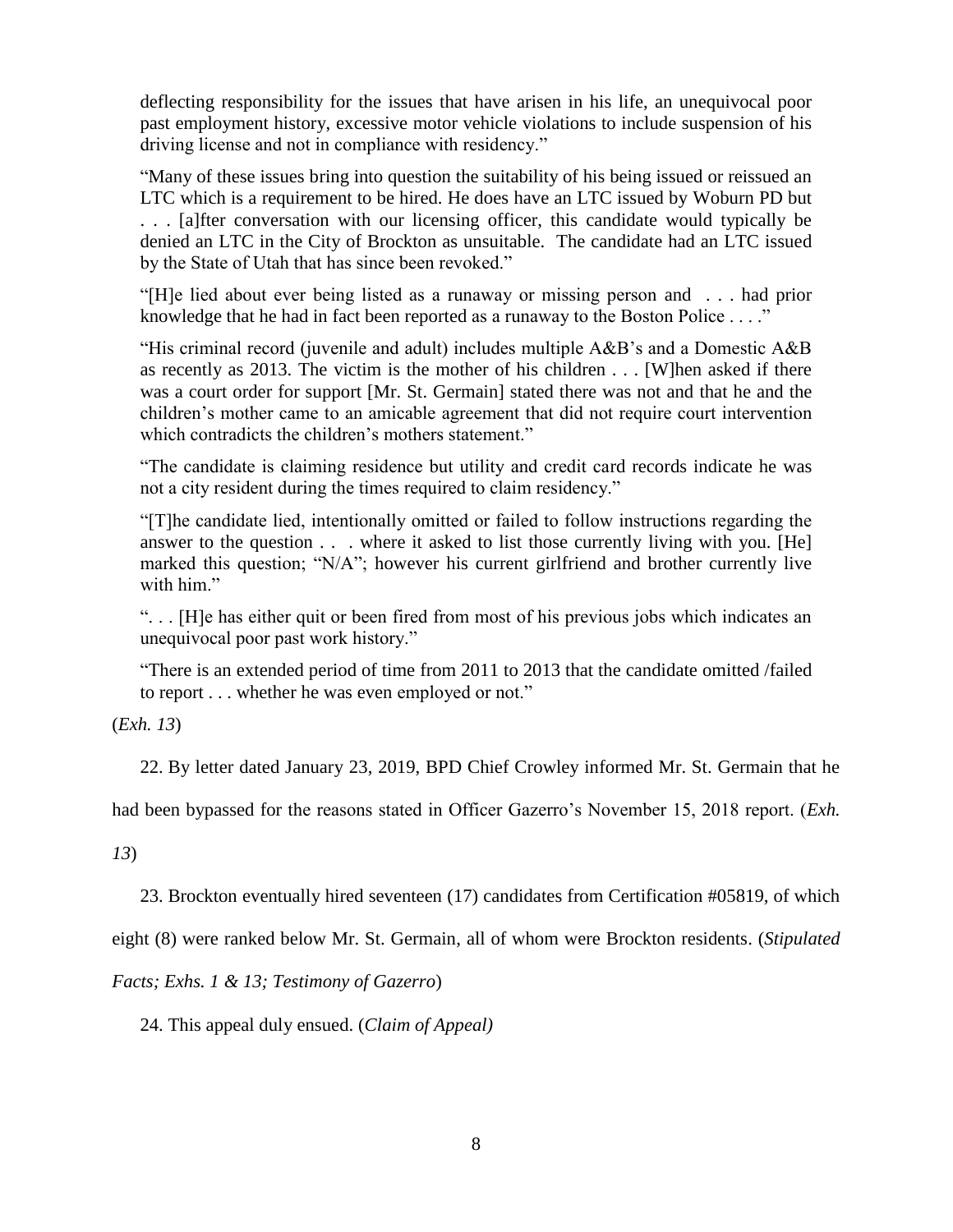deflecting responsibility for the issues that have arisen in his life, an unequivocal poor past employment history, excessive motor vehicle violations to include suspension of his driving license and not in compliance with residency."

"Many of these issues bring into question the suitability of his being issued or reissued an LTC which is a requirement to be hired. He does have an LTC issued by Woburn PD but . . . [a]fter conversation with our licensing officer, this candidate would typically be denied an LTC in the City of Brockton as unsuitable. The candidate had an LTC issued by the State of Utah that has since been revoked."

"[H]e lied about ever being listed as a runaway or missing person and . . . had prior knowledge that he had in fact been reported as a runaway to the Boston Police . . . ."

"His criminal record (juvenile and adult) includes multiple  $A\&B$ 's and a Domestic  $A\&B$ as recently as 2013. The victim is the mother of his children . . . [W]hen asked if there was a court order for support [Mr. St. Germain] stated there was not and that he and the children's mother came to an amicable agreement that did not require court intervention which contradicts the children's mothers statement."

"The candidate is claiming residence but utility and credit card records indicate he was not a city resident during the times required to claim residency."

"[T]he candidate lied, intentionally omitted or failed to follow instructions regarding the answer to the question . . . where it asked to list those currently living with you. [He] marked this question; "N/A"; however his current girlfriend and brother currently live with him."

". . . [H]e has either quit or been fired from most of his previous jobs which indicates an unequivocal poor past work history."

"There is an extended period of time from 2011 to 2013 that the candidate omitted /failed to report . . . whether he was even employed or not."

(*Exh. 13*)

22. By letter dated January 23, 2019, BPD Chief Crowley informed Mr. St. Germain that he

had been bypassed for the reasons stated in Officer Gazerro's November 15, 2018 report. (*Exh.* 

*13*)

23. Brockton eventually hired seventeen (17) candidates from Certification #05819, of which

eight (8) were ranked below Mr. St. Germain, all of whom were Brockton residents. (*Stipulated* 

*Facts; Exhs. 1 & 13; Testimony of Gazerro*)

24. This appeal duly ensued. (*Claim of Appeal)*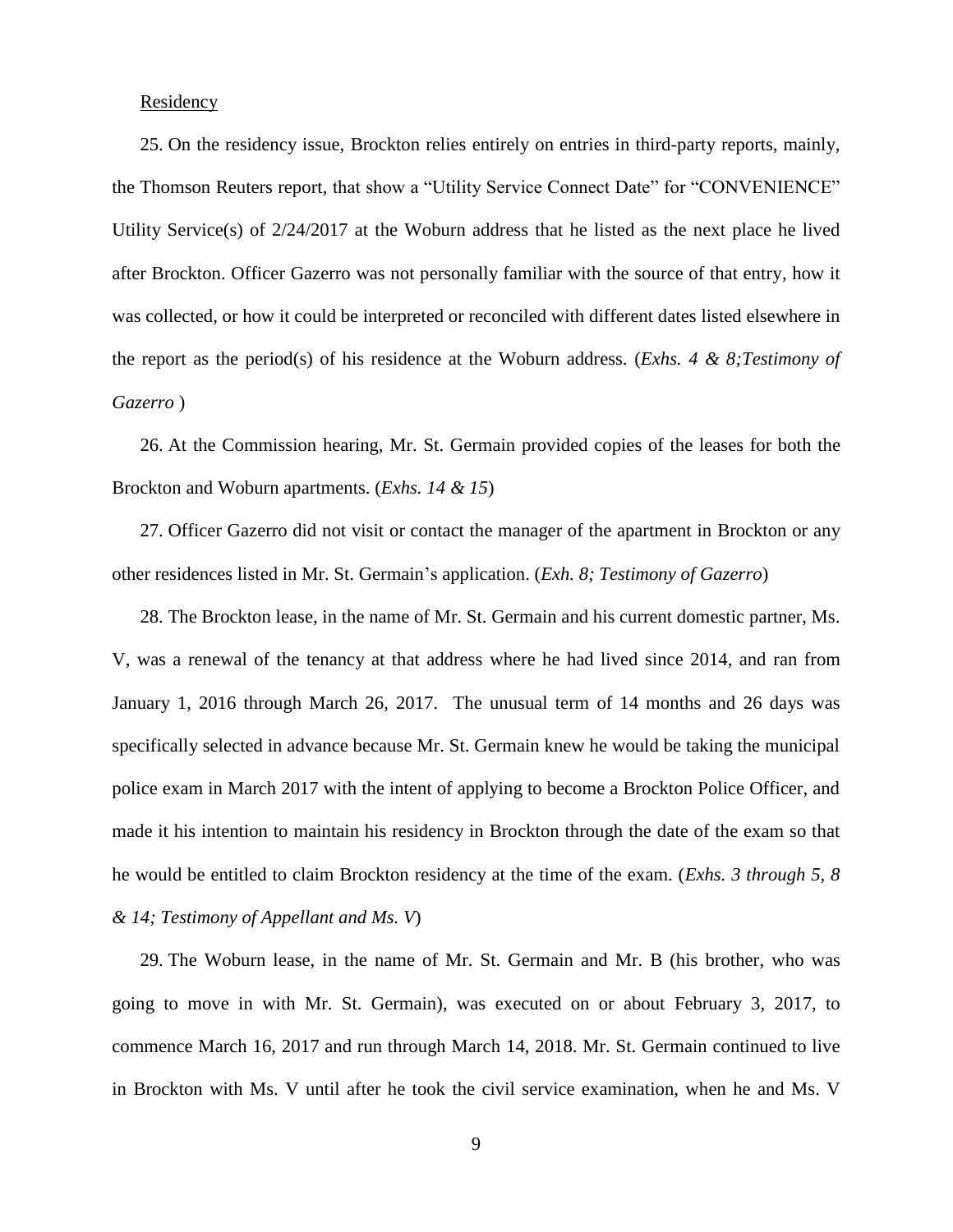## Residency

25. On the residency issue, Brockton relies entirely on entries in third-party reports, mainly, the Thomson Reuters report, that show a "Utility Service Connect Date" for "CONVENIENCE" Utility Service(s) of 2/24/2017 at the Woburn address that he listed as the next place he lived after Brockton. Officer Gazerro was not personally familiar with the source of that entry, how it was collected, or how it could be interpreted or reconciled with different dates listed elsewhere in the report as the period(s) of his residence at the Woburn address. (*Exhs. 4 & 8;Testimony of Gazerro* )

26. At the Commission hearing, Mr. St. Germain provided copies of the leases for both the Brockton and Woburn apartments. (*Exhs. 14 & 15*)

27. Officer Gazerro did not visit or contact the manager of the apartment in Brockton or any other residences listed in Mr. St. Germain's application. (*Exh. 8; Testimony of Gazerro*)

28. The Brockton lease, in the name of Mr. St. Germain and his current domestic partner, Ms. V, was a renewal of the tenancy at that address where he had lived since 2014, and ran from January 1, 2016 through March 26, 2017. The unusual term of 14 months and 26 days was specifically selected in advance because Mr. St. Germain knew he would be taking the municipal police exam in March 2017 with the intent of applying to become a Brockton Police Officer, and made it his intention to maintain his residency in Brockton through the date of the exam so that he would be entitled to claim Brockton residency at the time of the exam. (*Exhs. 3 through 5, 8 & 14; Testimony of Appellant and Ms. V*)

29. The Woburn lease, in the name of Mr. St. Germain and Mr. B (his brother, who was going to move in with Mr. St. Germain), was executed on or about February 3, 2017, to commence March 16, 2017 and run through March 14, 2018. Mr. St. Germain continued to live in Brockton with Ms. V until after he took the civil service examination, when he and Ms. V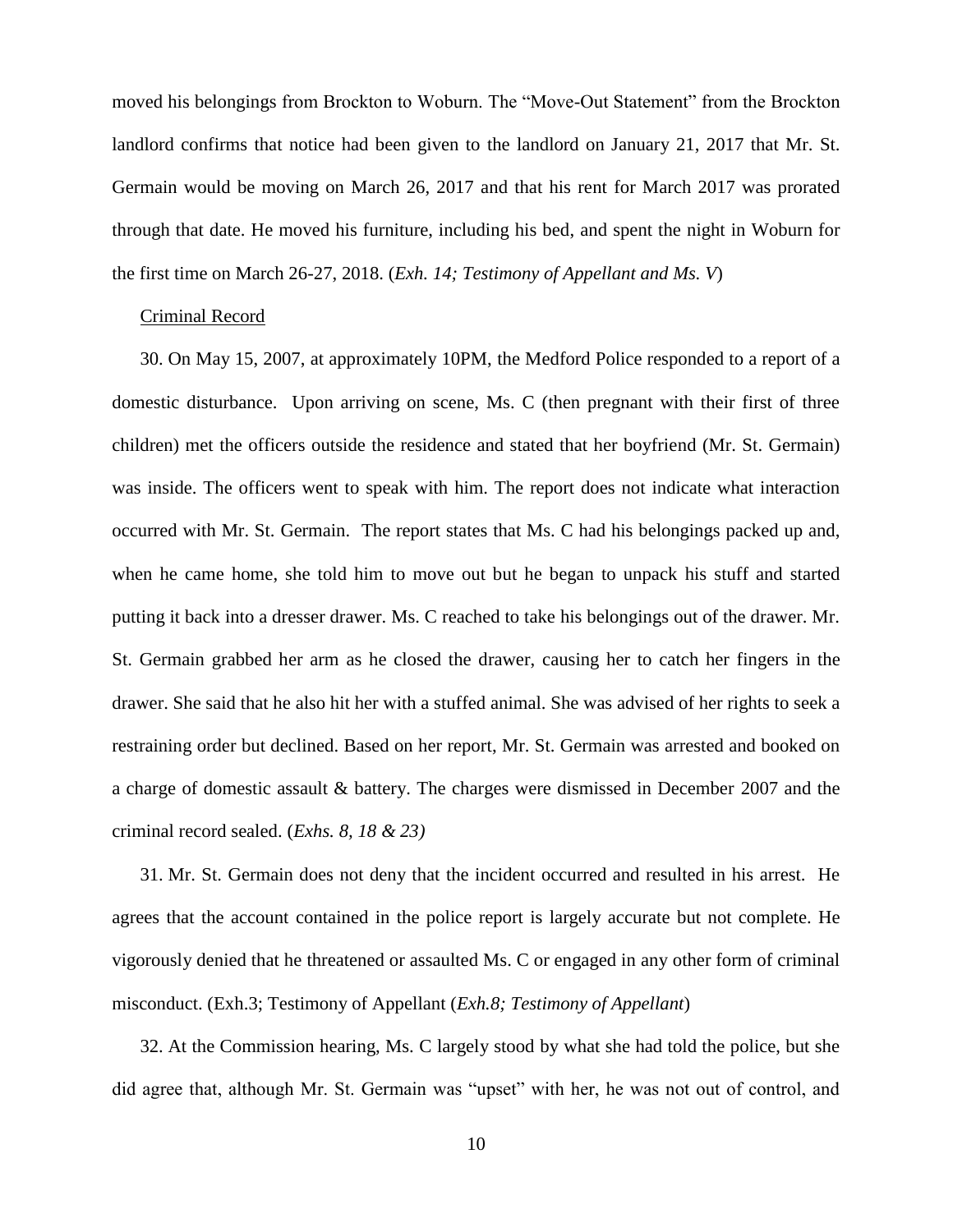moved his belongings from Brockton to Woburn. The "Move-Out Statement" from the Brockton landlord confirms that notice had been given to the landlord on January 21, 2017 that Mr. St. Germain would be moving on March 26, 2017 and that his rent for March 2017 was prorated through that date. He moved his furniture, including his bed, and spent the night in Woburn for the first time on March 26-27, 2018. (*Exh. 14; Testimony of Appellant and Ms. V*)

## Criminal Record

30. On May 15, 2007, at approximately 10PM, the Medford Police responded to a report of a domestic disturbance. Upon arriving on scene, Ms. C (then pregnant with their first of three children) met the officers outside the residence and stated that her boyfriend (Mr. St. Germain) was inside. The officers went to speak with him. The report does not indicate what interaction occurred with Mr. St. Germain. The report states that Ms. C had his belongings packed up and, when he came home, she told him to move out but he began to unpack his stuff and started putting it back into a dresser drawer. Ms. C reached to take his belongings out of the drawer. Mr. St. Germain grabbed her arm as he closed the drawer, causing her to catch her fingers in the drawer. She said that he also hit her with a stuffed animal. She was advised of her rights to seek a restraining order but declined. Based on her report, Mr. St. Germain was arrested and booked on a charge of domestic assault & battery. The charges were dismissed in December 2007 and the criminal record sealed. (*Exhs. 8, 18 & 23)*

31. Mr. St. Germain does not deny that the incident occurred and resulted in his arrest. He agrees that the account contained in the police report is largely accurate but not complete. He vigorously denied that he threatened or assaulted Ms. C or engaged in any other form of criminal misconduct. (Exh.3; Testimony of Appellant (*Exh.8; Testimony of Appellant*)

32. At the Commission hearing, Ms. C largely stood by what she had told the police, but she did agree that, although Mr. St. Germain was "upset" with her, he was not out of control, and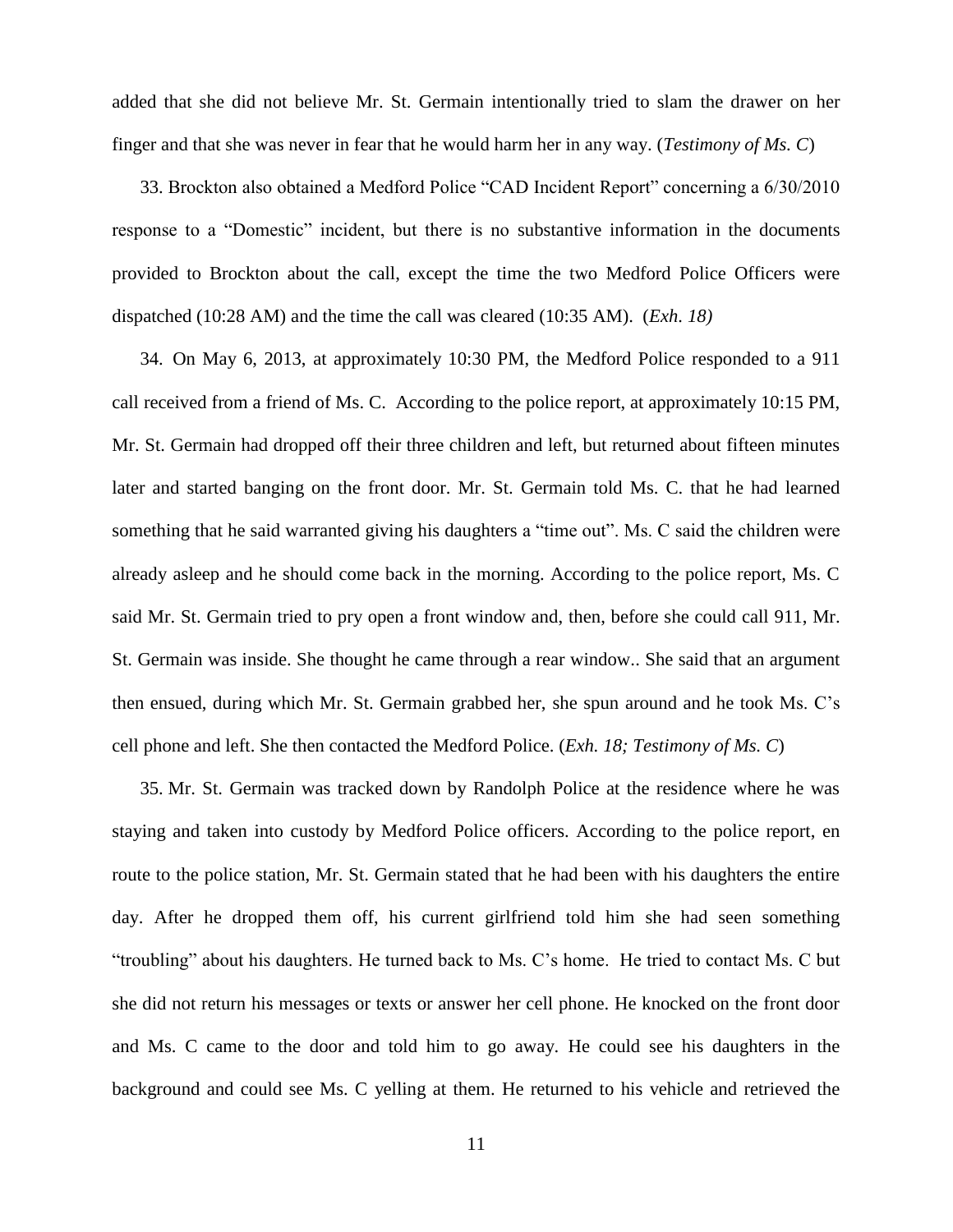added that she did not believe Mr. St. Germain intentionally tried to slam the drawer on her finger and that she was never in fear that he would harm her in any way. (*Testimony of Ms. C*)

33. Brockton also obtained a Medford Police "CAD Incident Report" concerning a 6/30/2010 response to a "Domestic" incident, but there is no substantive information in the documents provided to Brockton about the call, except the time the two Medford Police Officers were dispatched (10:28 AM) and the time the call was cleared (10:35 AM). (*Exh. 18)*

34. On May 6, 2013, at approximately 10:30 PM, the Medford Police responded to a 911 call received from a friend of Ms. C. According to the police report, at approximately 10:15 PM, Mr. St. Germain had dropped off their three children and left, but returned about fifteen minutes later and started banging on the front door. Mr. St. Germain told Ms. C. that he had learned something that he said warranted giving his daughters a "time out". Ms. C said the children were already asleep and he should come back in the morning. According to the police report, Ms. C said Mr. St. Germain tried to pry open a front window and, then, before she could call 911, Mr. St. Germain was inside. She thought he came through a rear window.. She said that an argument then ensued, during which Mr. St. Germain grabbed her, she spun around and he took Ms. C's cell phone and left. She then contacted the Medford Police. (*Exh. 18; Testimony of Ms. C*)

35. Mr. St. Germain was tracked down by Randolph Police at the residence where he was staying and taken into custody by Medford Police officers. According to the police report, en route to the police station, Mr. St. Germain stated that he had been with his daughters the entire day. After he dropped them off, his current girlfriend told him she had seen something "troubling" about his daughters. He turned back to Ms. C's home. He tried to contact Ms. C but she did not return his messages or texts or answer her cell phone. He knocked on the front door and Ms. C came to the door and told him to go away. He could see his daughters in the background and could see Ms. C yelling at them. He returned to his vehicle and retrieved the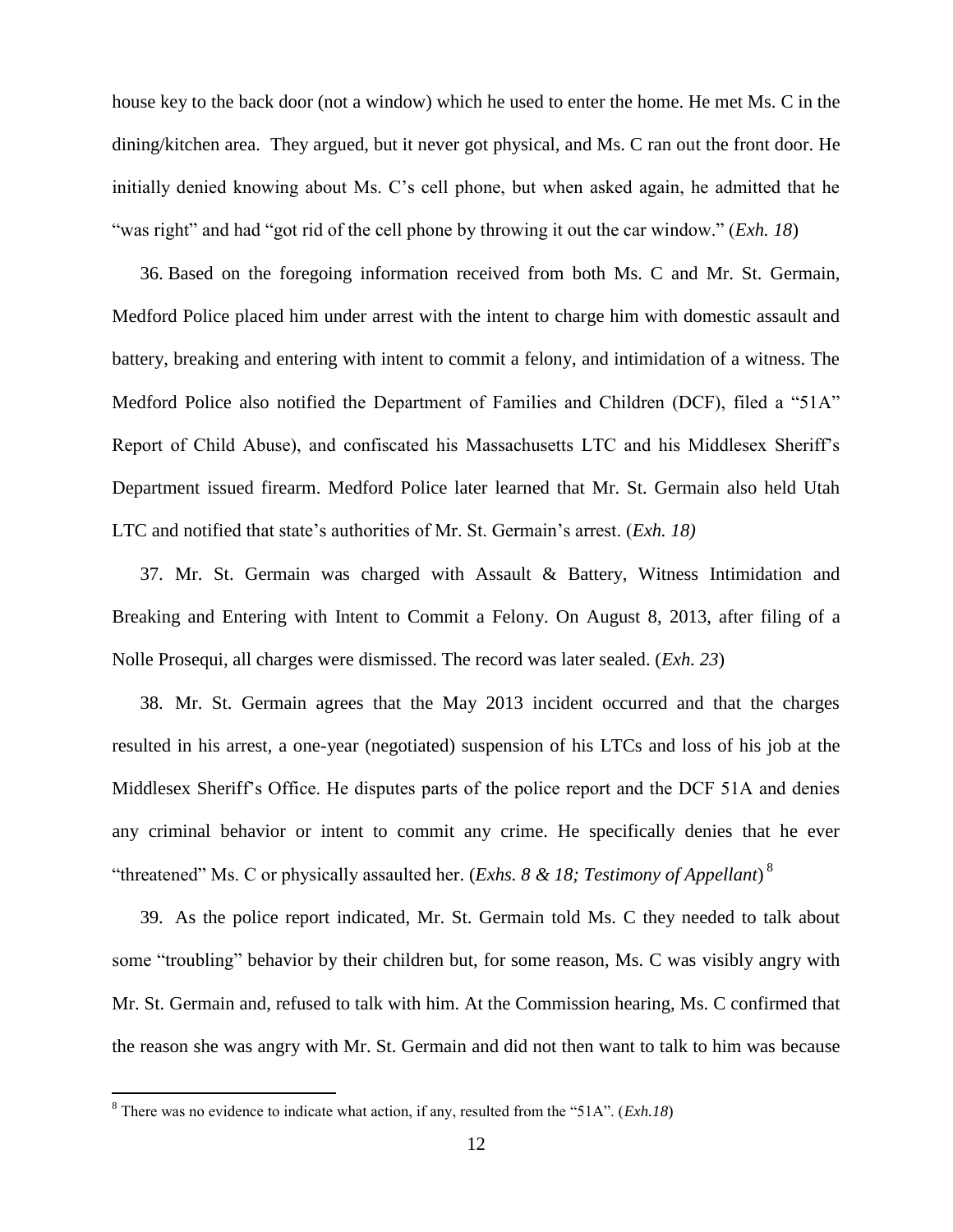house key to the back door (not a window) which he used to enter the home. He met Ms. C in the dining/kitchen area. They argued, but it never got physical, and Ms. C ran out the front door. He initially denied knowing about Ms. C's cell phone, but when asked again, he admitted that he "was right" and had "got rid of the cell phone by throwing it out the car window." (*Exh. 18*)

36. Based on the foregoing information received from both Ms. C and Mr. St. Germain, Medford Police placed him under arrest with the intent to charge him with domestic assault and battery, breaking and entering with intent to commit a felony, and intimidation of a witness. The Medford Police also notified the Department of Families and Children (DCF), filed a "51A" Report of Child Abuse), and confiscated his Massachusetts LTC and his Middlesex Sheriff's Department issued firearm. Medford Police later learned that Mr. St. Germain also held Utah LTC and notified that state's authorities of Mr. St. Germain's arrest. (*Exh. 18)*

37. Mr. St. Germain was charged with Assault & Battery, Witness Intimidation and Breaking and Entering with Intent to Commit a Felony. On August 8, 2013, after filing of a Nolle Prosequi, all charges were dismissed. The record was later sealed. (*Exh. 23*)

38. Mr. St. Germain agrees that the May 2013 incident occurred and that the charges resulted in his arrest, a one-year (negotiated) suspension of his LTCs and loss of his job at the Middlesex Sheriff's Office. He disputes parts of the police report and the DCF 51A and denies any criminal behavior or intent to commit any crime. He specifically denies that he ever "threatened" Ms. C or physically assaulted her. (*Exhs. 8 & 18; Testimony of Appellant*) 8

39. As the police report indicated, Mr. St. Germain told Ms. C they needed to talk about some "troubling" behavior by their children but, for some reason, Ms. C was visibly angry with Mr. St. Germain and, refused to talk with him. At the Commission hearing, Ms. C confirmed that the reason she was angry with Mr. St. Germain and did not then want to talk to him was because

 $\overline{a}$ 

<sup>8</sup> There was no evidence to indicate what action, if any, resulted from the "51A". (*Exh.18*)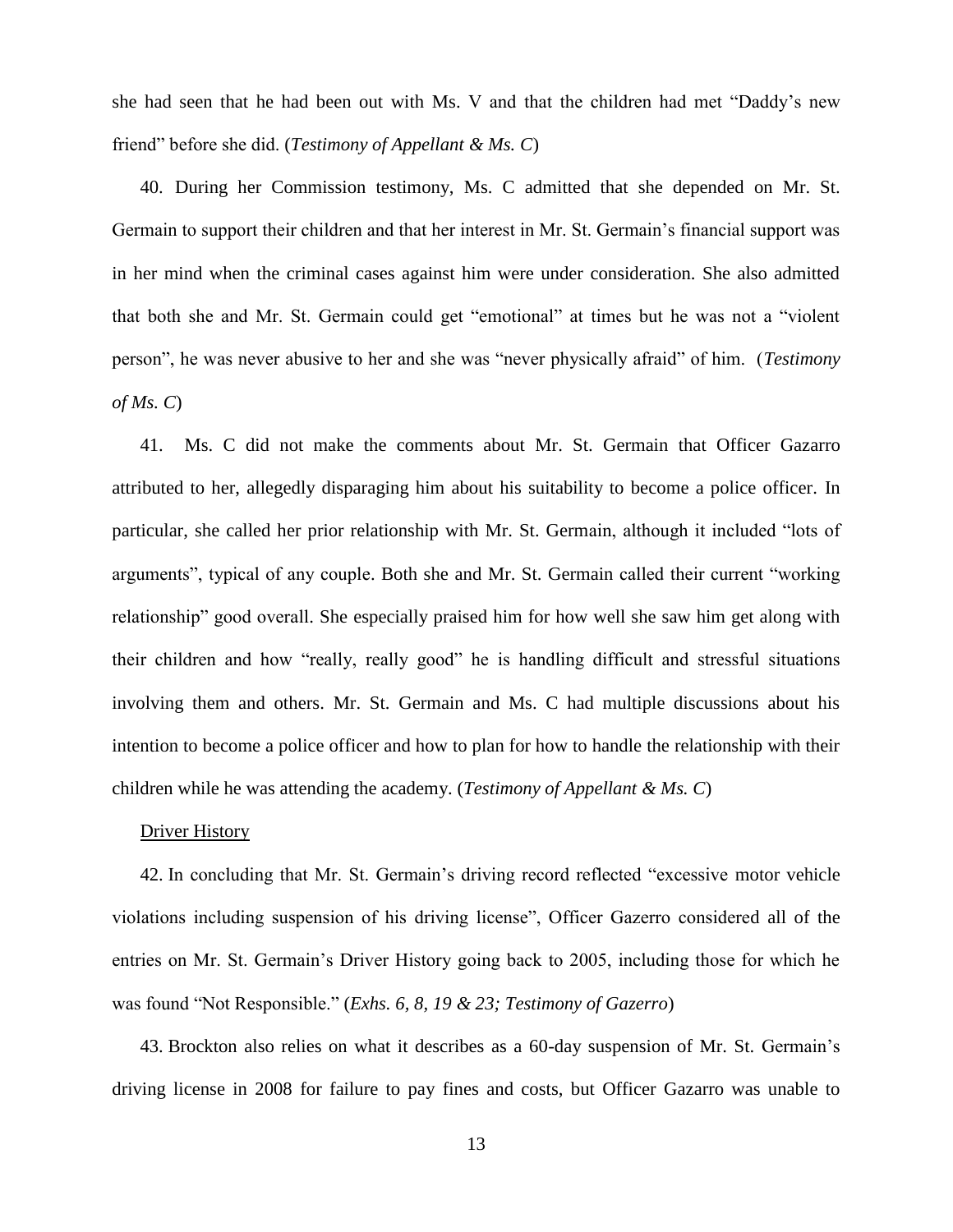she had seen that he had been out with Ms. V and that the children had met "Daddy's new friend" before she did. (*Testimony of Appellant & Ms. C*)

40. During her Commission testimony, Ms. C admitted that she depended on Mr. St. Germain to support their children and that her interest in Mr. St. Germain's financial support was in her mind when the criminal cases against him were under consideration. She also admitted that both she and Mr. St. Germain could get "emotional" at times but he was not a "violent person", he was never abusive to her and she was "never physically afraid" of him. (*Testimony of Ms. C*)

41. Ms. C did not make the comments about Mr. St. Germain that Officer Gazarro attributed to her, allegedly disparaging him about his suitability to become a police officer. In particular, she called her prior relationship with Mr. St. Germain, although it included "lots of arguments", typical of any couple. Both she and Mr. St. Germain called their current "working relationship" good overall. She especially praised him for how well she saw him get along with their children and how "really, really good" he is handling difficult and stressful situations involving them and others. Mr. St. Germain and Ms. C had multiple discussions about his intention to become a police officer and how to plan for how to handle the relationship with their children while he was attending the academy. (*Testimony of Appellant & Ms. C*)

# Driver History

42. In concluding that Mr. St. Germain's driving record reflected "excessive motor vehicle violations including suspension of his driving license", Officer Gazerro considered all of the entries on Mr. St. Germain's Driver History going back to 2005, including those for which he was found "Not Responsible." (*Exhs. 6, 8, 19 & 23; Testimony of Gazerro*)

43. Brockton also relies on what it describes as a 60-day suspension of Mr. St. Germain's driving license in 2008 for failure to pay fines and costs, but Officer Gazarro was unable to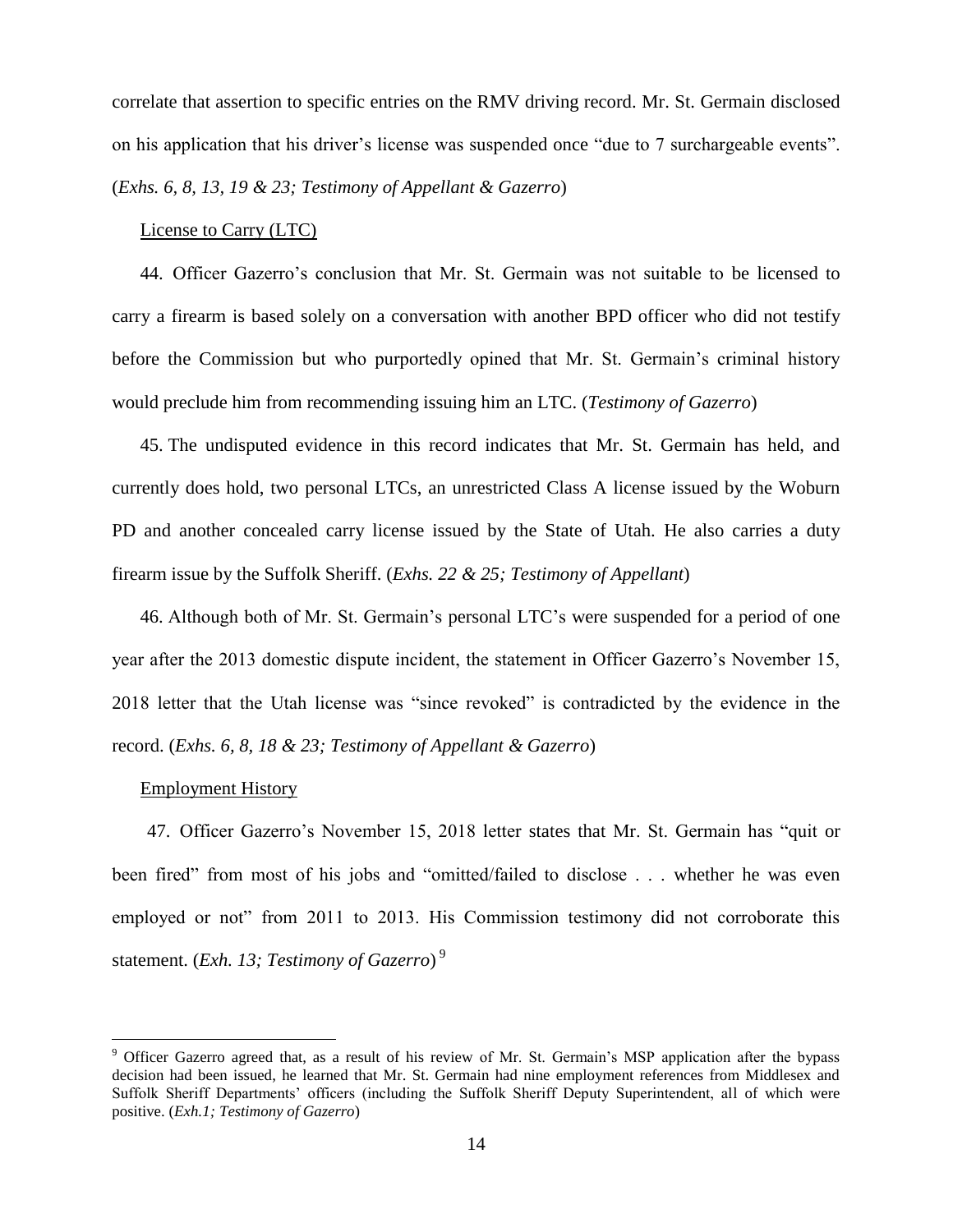correlate that assertion to specific entries on the RMV driving record. Mr. St. Germain disclosed on his application that his driver's license was suspended once "due to 7 surchargeable events". (*Exhs. 6, 8, 13, 19 & 23; Testimony of Appellant & Gazerro*)

### License to Carry (LTC)

44. Officer Gazerro's conclusion that Mr. St. Germain was not suitable to be licensed to carry a firearm is based solely on a conversation with another BPD officer who did not testify before the Commission but who purportedly opined that Mr. St. Germain's criminal history would preclude him from recommending issuing him an LTC. (*Testimony of Gazerro*)

45. The undisputed evidence in this record indicates that Mr. St. Germain has held, and currently does hold, two personal LTCs, an unrestricted Class A license issued by the Woburn PD and another concealed carry license issued by the State of Utah. He also carries a duty firearm issue by the Suffolk Sheriff. (*Exhs. 22 & 25; Testimony of Appellant*)

46. Although both of Mr. St. Germain's personal LTC's were suspended for a period of one year after the 2013 domestic dispute incident, the statement in Officer Gazerro's November 15, 2018 letter that the Utah license was "since revoked" is contradicted by the evidence in the record. (*Exhs. 6, 8, 18 & 23; Testimony of Appellant & Gazerro*)

#### Employment History

 $\overline{a}$ 

47. Officer Gazerro's November 15, 2018 letter states that Mr. St. Germain has "quit or been fired" from most of his jobs and "omitted/failed to disclose . . . whether he was even employed or not" from 2011 to 2013. His Commission testimony did not corroborate this statement. (*Exh. 13; Testimony of Gazerro*) 9

<sup>9</sup> Officer Gazerro agreed that, as a result of his review of Mr. St. Germain's MSP application after the bypass decision had been issued, he learned that Mr. St. Germain had nine employment references from Middlesex and Suffolk Sheriff Departments' officers (including the Suffolk Sheriff Deputy Superintendent, all of which were positive. (*Exh.1; Testimony of Gazerro*)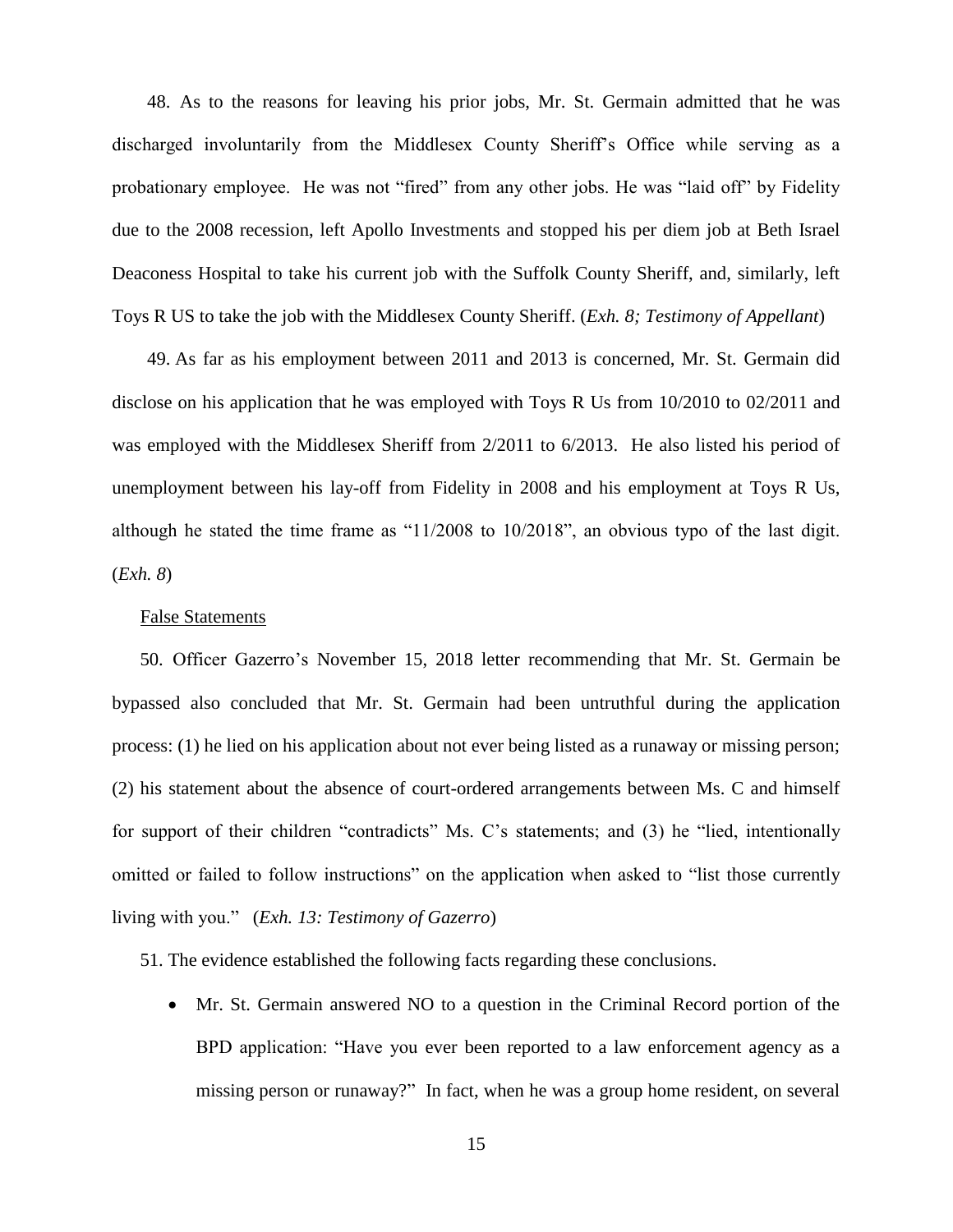48. As to the reasons for leaving his prior jobs, Mr. St. Germain admitted that he was discharged involuntarily from the Middlesex County Sheriff's Office while serving as a probationary employee. He was not "fired" from any other jobs. He was "laid off" by Fidelity due to the 2008 recession, left Apollo Investments and stopped his per diem job at Beth Israel Deaconess Hospital to take his current job with the Suffolk County Sheriff, and, similarly, left Toys R US to take the job with the Middlesex County Sheriff. (*Exh. 8; Testimony of Appellant*)

49. As far as his employment between 2011 and 2013 is concerned, Mr. St. Germain did disclose on his application that he was employed with Toys R Us from 10/2010 to 02/2011 and was employed with the Middlesex Sheriff from 2/2011 to 6/2013. He also listed his period of unemployment between his lay-off from Fidelity in 2008 and his employment at Toys R Us, although he stated the time frame as "11/2008 to 10/2018", an obvious typo of the last digit. (*Exh. 8*)

## False Statements

50. Officer Gazerro's November 15, 2018 letter recommending that Mr. St. Germain be bypassed also concluded that Mr. St. Germain had been untruthful during the application process: (1) he lied on his application about not ever being listed as a runaway or missing person; (2) his statement about the absence of court-ordered arrangements between Ms. C and himself for support of their children "contradicts" Ms. C's statements; and (3) he "lied, intentionally omitted or failed to follow instructions" on the application when asked to "list those currently living with you." (*Exh. 13: Testimony of Gazerro*)

51. The evidence established the following facts regarding these conclusions.

 Mr. St. Germain answered NO to a question in the Criminal Record portion of the BPD application: "Have you ever been reported to a law enforcement agency as a missing person or runaway?" In fact, when he was a group home resident, on several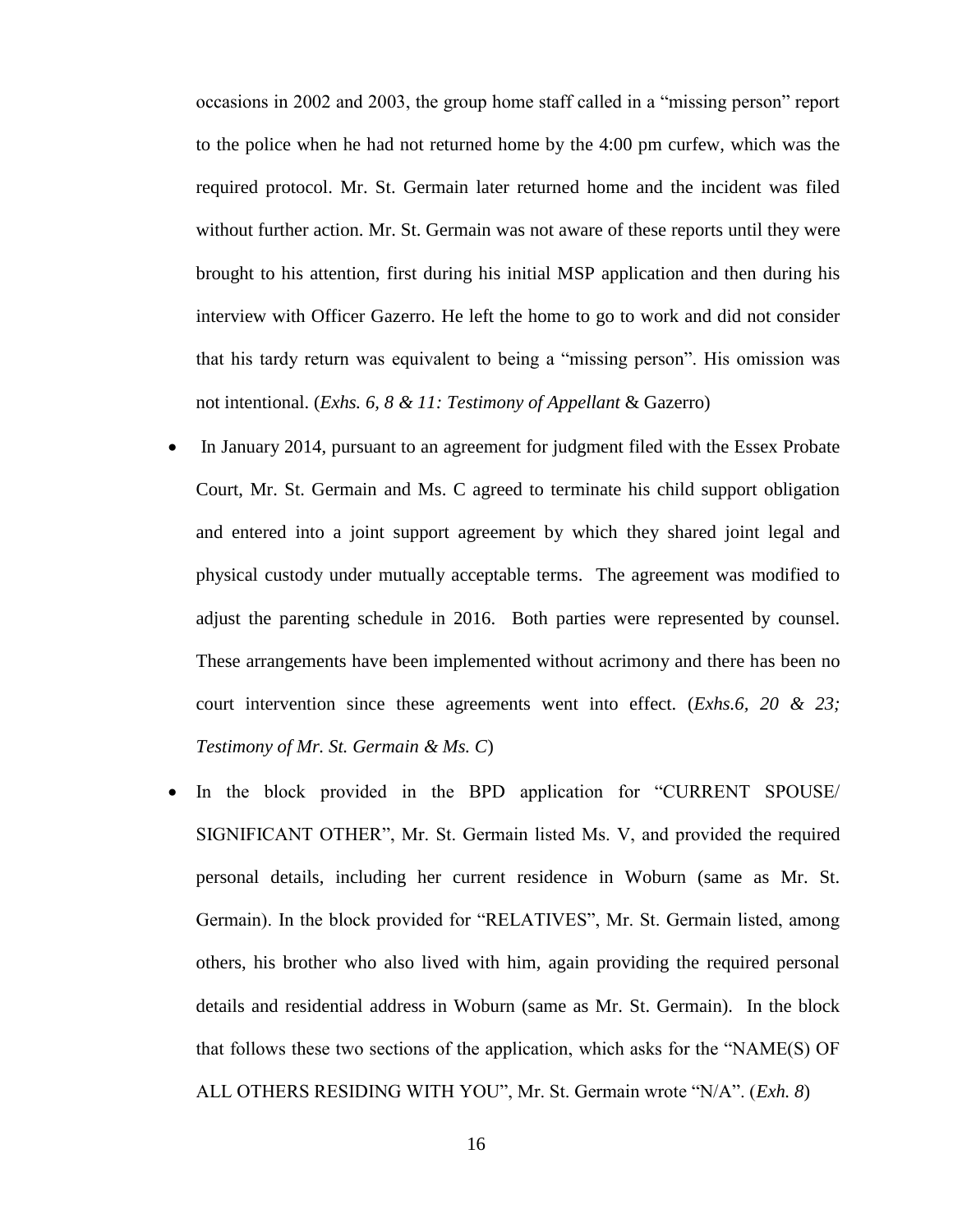occasions in 2002 and 2003, the group home staff called in a "missing person" report to the police when he had not returned home by the 4:00 pm curfew, which was the required protocol. Mr. St. Germain later returned home and the incident was filed without further action. Mr. St. Germain was not aware of these reports until they were brought to his attention, first during his initial MSP application and then during his interview with Officer Gazerro. He left the home to go to work and did not consider that his tardy return was equivalent to being a "missing person". His omission was not intentional. (*Exhs. 6, 8 & 11: Testimony of Appellant* & Gazerro)

- In January 2014, pursuant to an agreement for judgment filed with the Essex Probate Court, Mr. St. Germain and Ms. C agreed to terminate his child support obligation and entered into a joint support agreement by which they shared joint legal and physical custody under mutually acceptable terms. The agreement was modified to adjust the parenting schedule in 2016. Both parties were represented by counsel. These arrangements have been implemented without acrimony and there has been no court intervention since these agreements went into effect. (*Exhs.6, 20 & 23; Testimony of Mr. St. Germain & Ms. C*)
- In the block provided in the BPD application for "CURRENT SPOUSE/ SIGNIFICANT OTHER", Mr. St. Germain listed Ms. V, and provided the required personal details, including her current residence in Woburn (same as Mr. St. Germain). In the block provided for "RELATIVES", Mr. St. Germain listed, among others, his brother who also lived with him, again providing the required personal details and residential address in Woburn (same as Mr. St. Germain). In the block that follows these two sections of the application, which asks for the "NAME(S) OF ALL OTHERS RESIDING WITH YOU", Mr. St. Germain wrote "N/A". (*Exh. 8*)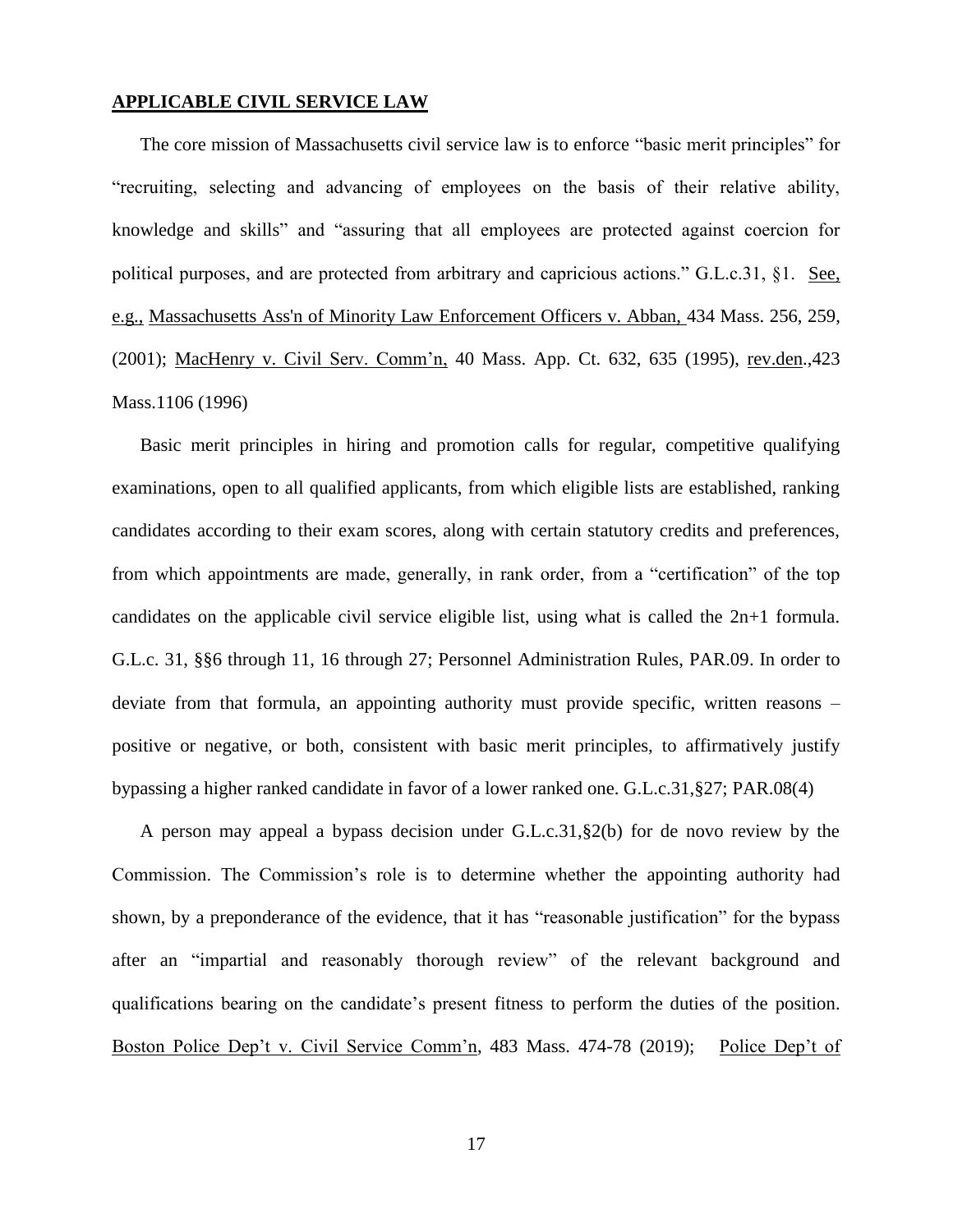# **APPLICABLE CIVIL SERVICE LAW**

The core mission of Massachusetts civil service law is to enforce "basic merit principles" for "recruiting, selecting and advancing of employees on the basis of their relative ability, knowledge and skills" and "assuring that all employees are protected against coercion for political purposes, and are protected from arbitrary and capricious actions." G.L.c.31, §1. See, e.g., [Massachusetts Ass'n of Minority Law Enforcement Officers v. Abban,](http://web2.westlaw.com/find/default.wl?mt=Massachusetts&db=578&rs=WLW15.04&tc=-1&rp=%2ffind%2fdefault.wl&findtype=Y&ordoc=2029136022&serialnum=2001441097&vr=2.0&fn=_top&sv=Split&tf=-1&pbc=70F732C1&utid=1) 434 Mass. 256, 259, [\(2001\);](http://web2.westlaw.com/find/default.wl?mt=Massachusetts&db=578&rs=WLW15.04&tc=-1&rp=%2ffind%2fdefault.wl&findtype=Y&ordoc=2029136022&serialnum=2001441097&vr=2.0&fn=_top&sv=Split&tf=-1&pbc=70F732C1&utid=1) MacHenry v. Civil Serv. Comm'n, 40 Mass. App. Ct. 632, 635 (1995), rev.den.,423 Mass.1106 (1996)

Basic merit principles in hiring and promotion calls for regular, competitive qualifying examinations, open to all qualified applicants, from which eligible lists are established, ranking candidates according to their exam scores, along with certain statutory credits and preferences, from which appointments are made, generally, in rank order, from a "certification" of the top candidates on the applicable civil service eligible list, using what is called the 2n+1 formula. G.L.c. 31, §§6 through 11, 16 through 27; Personnel Administration Rules, PAR.09. In order to deviate from that formula, an appointing authority must provide specific, written reasons – positive or negative, or both, consistent with basic merit principles, to affirmatively justify bypassing a higher ranked candidate in favor of a lower ranked one. G.L.c.31,§27; PAR.08(4)

A person may appeal a bypass decision under G.L.c.31,§2(b) for de novo review by the Commission. The Commission's role is to determine whether the appointing authority had shown, by a preponderance of the evidence, that it has "reasonable justification" for the bypass after an "impartial and reasonably thorough review" of the relevant background and qualifications bearing on the candidate's present fitness to perform the duties of the position. Boston Police Dep't v. Civil Service Comm'n, 483 Mass. 474-78 (2019); Police Dep't of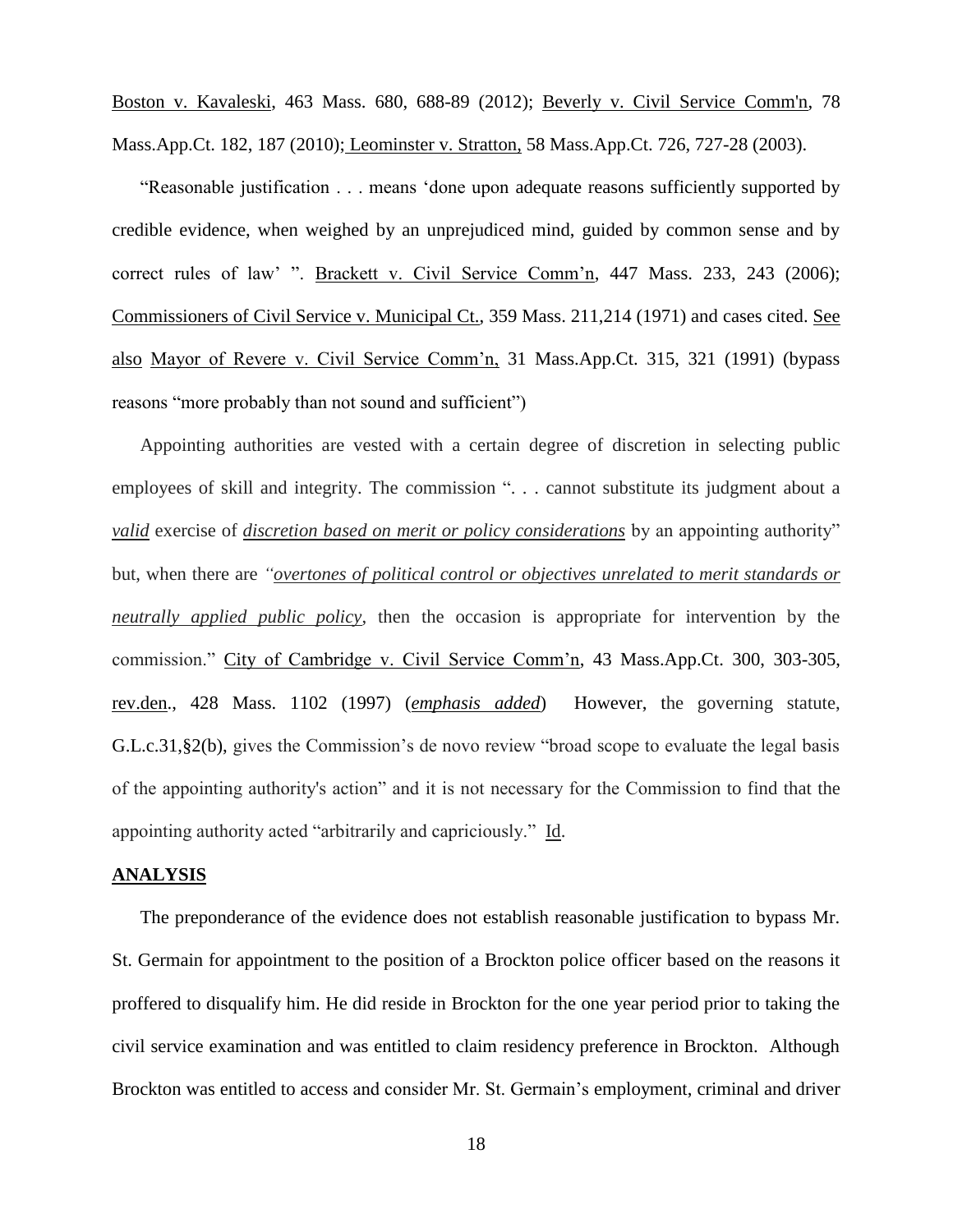Boston v. Kavaleski, 463 Mass. 680, 688-89 (2012); [Beverly v. Civil Service Comm'n, 78](http://web2.westlaw.com/find/default.wl?mt=Massachusetts&db=578&rs=WLW15.04&tc=-1&rp=%2ffind%2fdefault.wl&findtype=Y&ordoc=2029136022&serialnum=2023501172&vr=2.0&fn=_top&sv=Split&tf=-1&pbc=70F732C1&utid=1)  [Mass.App.Ct. 182, 187 \(2010\);](http://web2.westlaw.com/find/default.wl?mt=Massachusetts&db=578&rs=WLW15.04&tc=-1&rp=%2ffind%2fdefault.wl&findtype=Y&ordoc=2029136022&serialnum=2023501172&vr=2.0&fn=_top&sv=Split&tf=-1&pbc=70F732C1&utid=1) Leominster v. Stratton, 58 Mass.App.Ct. 726, 727-28 (2003).

"Reasonable justification . . . means 'done upon adequate reasons sufficiently supported by credible evidence, when weighed by an unprejudiced mind, guided by common sense and by correct rules of law' ". Brackett v. Civil Service Comm'n, 447 Mass. 233, 243 (2006); Commissioners of Civil Service v. Municipal Ct., 359 Mass. 211,214 (1971) and cases cited. See also Mayor of Revere v. Civil Service Comm'n, 31 Mass.App.Ct. 315, 321 (1991) (bypass reasons "more probably than not sound and sufficient")

Appointing authorities are vested with a certain degree of discretion in selecting public employees of skill and integrity. The commission ". . . cannot substitute its judgment about a *valid* exercise of *discretion based on merit or policy considerations* by an appointing authority" but, when there are *"overtones of political control or objectives unrelated to merit standards or neutrally applied public policy*, then the occasion is appropriate for intervention by the commission." City of Cambridge v. Civil Service Comm'n, 43 Mass.App.Ct. 300, 303-305, rev.den., 428 Mass. 1102 (1997) (*emphasis added*) However, the governing statute, [G.L.c.31,§2\(b\),](https://1.next.westlaw.com/Link/Document/FullText?findType=L&pubNum=1000042&cite=MAST31S2&originatingDoc=Ib21af0ded3bd11d99439b076ef9ec4de&refType=LQ&originationContext=document&transitionType=DocumentItem&contextData=(sc.History*oc.UserEnteredCitation)) gives the Commission's de novo review "broad scope to evaluate the legal basis of the appointing authority's action" and it is not necessary for the Commission to find that the appointing authority acted "arbitrarily and capriciously." Id.

## **ANALYSIS**

The preponderance of the evidence does not establish reasonable justification to bypass Mr. St. Germain for appointment to the position of a Brockton police officer based on the reasons it proffered to disqualify him. He did reside in Brockton for the one year period prior to taking the civil service examination and was entitled to claim residency preference in Brockton. Although Brockton was entitled to access and consider Mr. St. Germain's employment, criminal and driver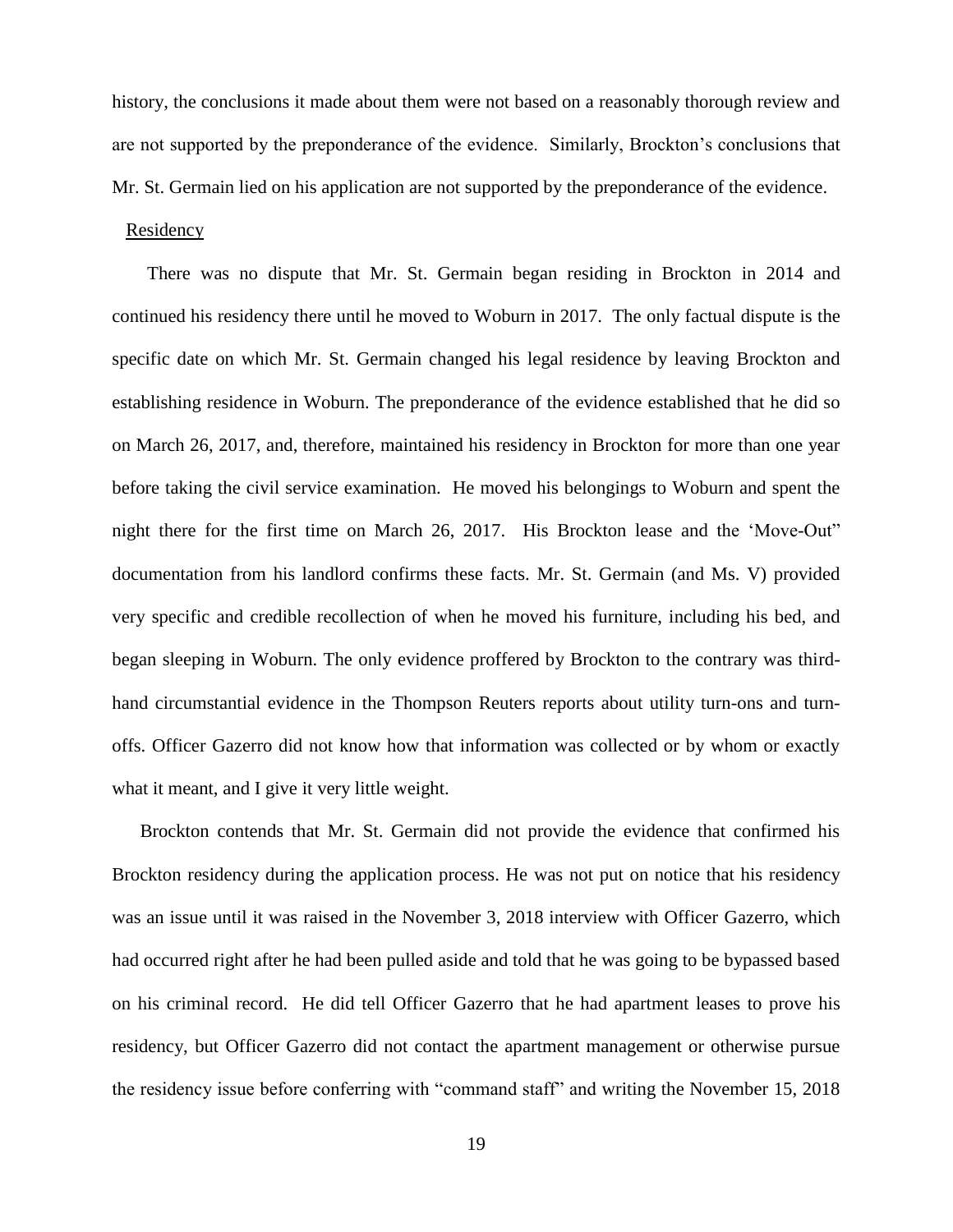history, the conclusions it made about them were not based on a reasonably thorough review and are not supported by the preponderance of the evidence. Similarly, Brockton's conclusions that Mr. St. Germain lied on his application are not supported by the preponderance of the evidence.

# **Residency**

There was no dispute that Mr. St. Germain began residing in Brockton in 2014 and continued his residency there until he moved to Woburn in 2017. The only factual dispute is the specific date on which Mr. St. Germain changed his legal residence by leaving Brockton and establishing residence in Woburn. The preponderance of the evidence established that he did so on March 26, 2017, and, therefore, maintained his residency in Brockton for more than one year before taking the civil service examination. He moved his belongings to Woburn and spent the night there for the first time on March 26, 2017. His Brockton lease and the 'Move-Out" documentation from his landlord confirms these facts. Mr. St. Germain (and Ms. V) provided very specific and credible recollection of when he moved his furniture, including his bed, and began sleeping in Woburn. The only evidence proffered by Brockton to the contrary was thirdhand circumstantial evidence in the Thompson Reuters reports about utility turn-ons and turnoffs. Officer Gazerro did not know how that information was collected or by whom or exactly what it meant, and I give it very little weight.

Brockton contends that Mr. St. Germain did not provide the evidence that confirmed his Brockton residency during the application process. He was not put on notice that his residency was an issue until it was raised in the November 3, 2018 interview with Officer Gazerro, which had occurred right after he had been pulled aside and told that he was going to be bypassed based on his criminal record. He did tell Officer Gazerro that he had apartment leases to prove his residency, but Officer Gazerro did not contact the apartment management or otherwise pursue the residency issue before conferring with "command staff" and writing the November 15, 2018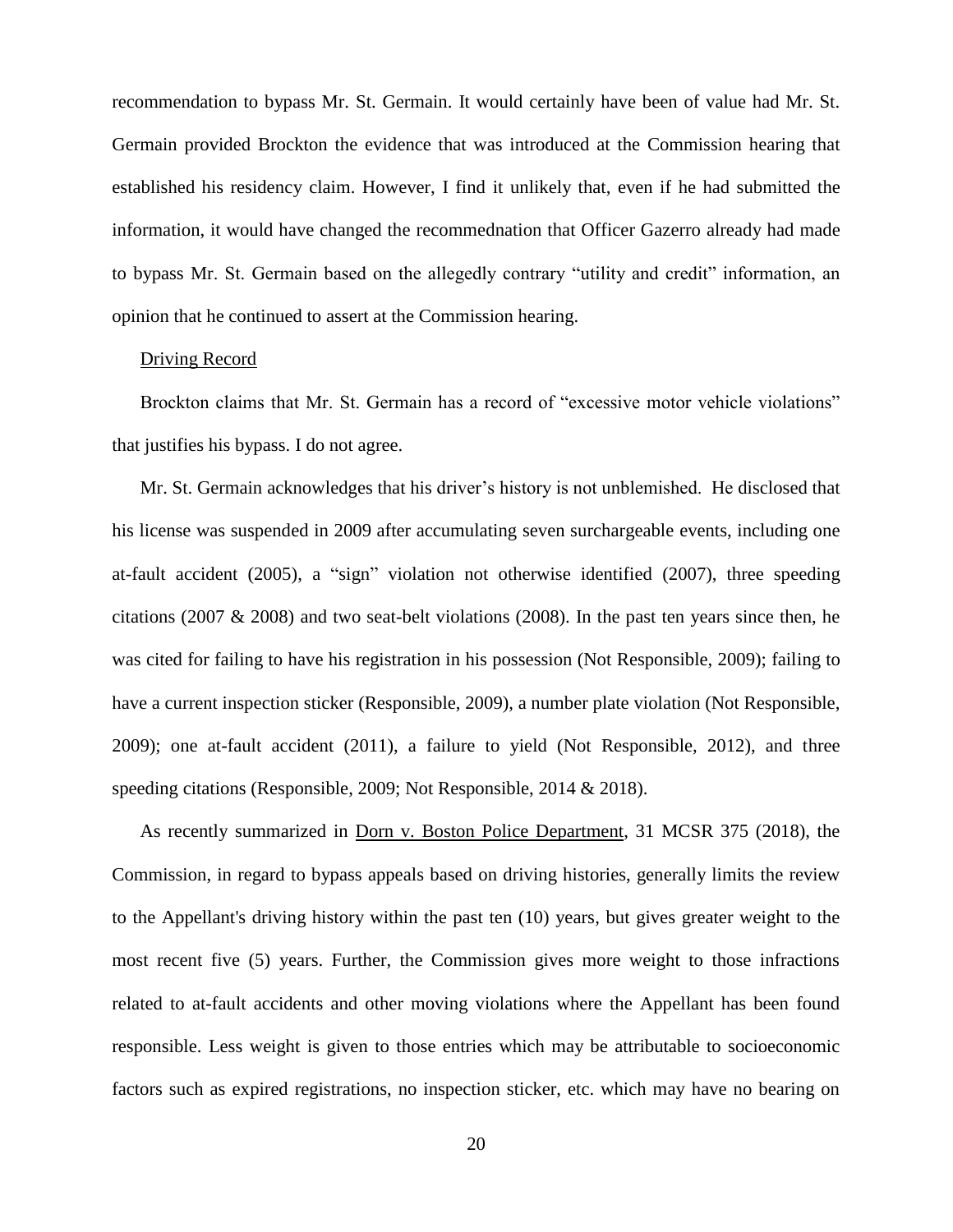recommendation to bypass Mr. St. Germain. It would certainly have been of value had Mr. St. Germain provided Brockton the evidence that was introduced at the Commission hearing that established his residency claim. However, I find it unlikely that, even if he had submitted the information, it would have changed the recommednation that Officer Gazerro already had made to bypass Mr. St. Germain based on the allegedly contrary "utility and credit" information, an opinion that he continued to assert at the Commission hearing.

## Driving Record

Brockton claims that Mr. St. Germain has a record of "excessive motor vehicle violations" that justifies his bypass. I do not agree.

Mr. St. Germain acknowledges that his driver's history is not unblemished. He disclosed that his license was suspended in 2009 after accumulating seven surchargeable events, including one at-fault accident (2005), a "sign" violation not otherwise identified (2007), three speeding citations (2007  $\&$  2008) and two seat-belt violations (2008). In the past ten years since then, he was cited for failing to have his registration in his possession (Not Responsible, 2009); failing to have a current inspection sticker (Responsible, 2009), a number plate violation (Not Responsible, 2009); one at-fault accident (2011), a failure to yield (Not Responsible, 2012), and three speeding citations (Responsible, 2009; Not Responsible, 2014 & 2018).

As recently summarized in Dorn v. Boston Police Department, 31 MCSR 375 (2018), the Commission, in regard to bypass appeals based on driving histories, generally limits the review to the Appellant's driving history within the past ten (10) years, but gives greater weight to the most recent five (5) years. Further, the Commission gives more weight to those infractions related to at-fault accidents and other moving violations where the Appellant has been found responsible. Less weight is given to those entries which may be attributable to socioeconomic factors such as expired registrations, no inspection sticker, etc. which may have no bearing on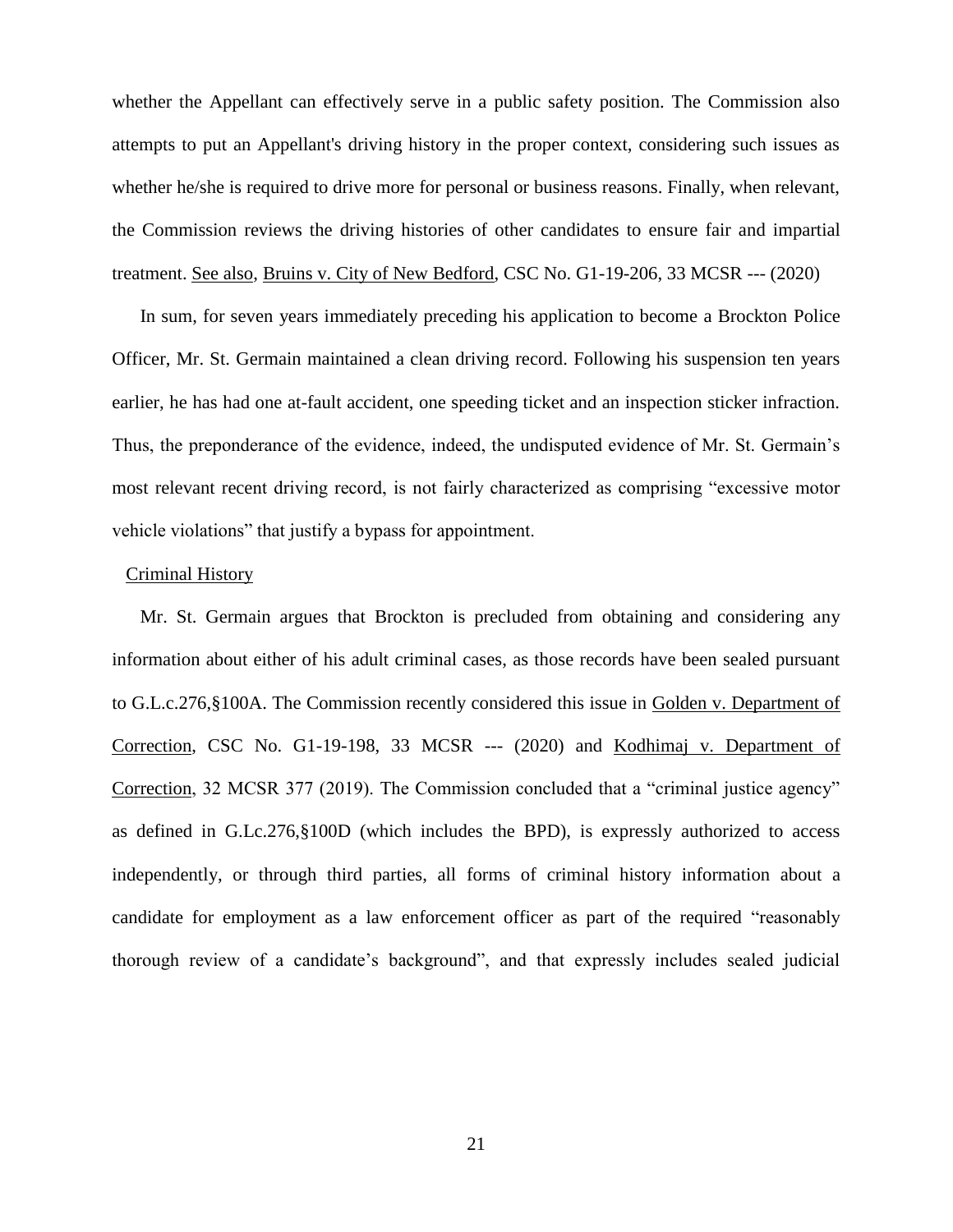whether the Appellant can effectively serve in a public safety position. The Commission also attempts to put an Appellant's driving history in the proper context, considering such issues as whether he/she is required to drive more for personal or business reasons. Finally, when relevant, the Commission reviews the driving histories of other candidates to ensure fair and impartial treatment. See also, Bruins v. City of New Bedford, CSC No. G1-19-206, 33 MCSR --- (2020)

In sum, for seven years immediately preceding his application to become a Brockton Police Officer, Mr. St. Germain maintained a clean driving record. Following his suspension ten years earlier, he has had one at-fault accident, one speeding ticket and an inspection sticker infraction. Thus, the preponderance of the evidence, indeed, the undisputed evidence of Mr. St. Germain's most relevant recent driving record, is not fairly characterized as comprising "excessive motor vehicle violations" that justify a bypass for appointment.

## Criminal History

Mr. St. Germain argues that Brockton is precluded from obtaining and considering any information about either of his adult criminal cases, as those records have been sealed pursuant to G.L.c.276,§100A. The Commission recently considered this issue in Golden v. Department of Correction, CSC No. G1-19-198, 33 MCSR --- (2020) and Kodhimaj v. Department of Correction, 32 MCSR 377 (2019). The Commission concluded that a "criminal justice agency" as defined in G.Lc.276,§100D (which includes the BPD), is expressly authorized to access independently, or through third parties, all forms of criminal history information about a candidate for employment as a law enforcement officer as part of the required "reasonably thorough review of a candidate's background", and that expressly includes sealed judicial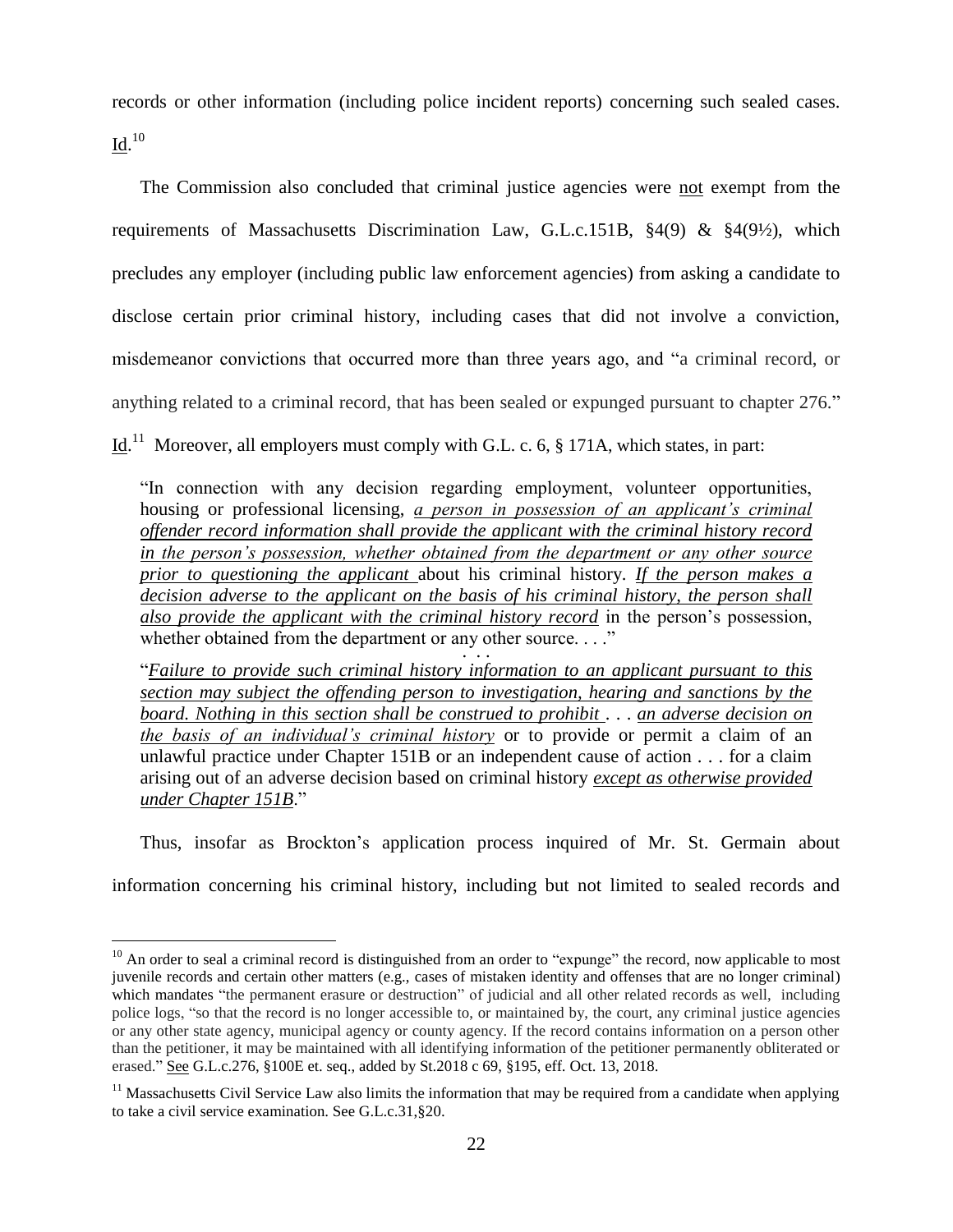records or other information (including police incident reports) concerning such sealed cases.  $\underline{\text{Id}}.^\text{10}$ 

The Commission also concluded that criminal justice agencies were not exempt from the requirements of Massachusetts Discrimination Law, G.L.c.151B, §4(9) & §4(9½), which precludes any employer (including public law enforcement agencies) from asking a candidate to disclose certain prior criminal history, including cases that did not involve a conviction, misdemeanor convictions that occurred more than three years ago, and "a criminal record, or anything related to a criminal record, that has been sealed or expunged pursuant to chapter 276."

 $\underline{Id}$ .<sup>11</sup> Moreover, all employers must comply with G.L. c. 6, § 171A, which states, in part:

"In connection with any decision regarding employment, volunteer opportunities, housing or professional licensing, *a person in possession of an applicant's criminal offender record information shall provide the applicant with the criminal history record in the person's possession, whether obtained from the department or any other source prior to questioning the applicant* about his criminal history. *If the person makes a decision adverse to the applicant on the basis of his criminal history, the person shall also provide the applicant with the criminal history record* in the person's possession, whether obtained from the department or any other source. . . ."  $\cdot \cdot \cdot$ 

"*Failure to provide such criminal history information to an applicant pursuant to this section may subject the offending person to investigation, hearing and sanctions by the board. Nothing in this section shall be construed to prohibit* . . . *an adverse decision on the basis of an individual's criminal history* or to provide or permit a claim of an unlawful practice under Chapter 151B or an independent cause of action . . . for a claim arising out of an adverse decision based on criminal history *except as otherwise provided under Chapter 151B*."

Thus, insofar as Brockton's application process inquired of Mr. St. Germain about information concerning his criminal history, including but not limited to sealed records and

 $\overline{a}$ 

 $10$  An order to seal a criminal record is distinguished from an order to "expunge" the record, now applicable to most juvenile records and certain other matters (e.g., cases of mistaken identity and offenses that are no longer criminal) which mandates "the permanent erasure or destruction" of judicial and all other related records as well, including police logs, "so that the record is no longer accessible to, or maintained by, the court, any criminal justice agencies or any other state agency, municipal agency or county agency. If the record contains information on a person other than the petitioner, it may be maintained with all identifying information of the petitioner permanently obliterated or erased." See G.L.c.276, §100E et. seq., added by St.2018 c 69, §195, [eff. Oct. 13, 2018.](https://1.next.westlaw.com/Link/Document/FullText?findType=l&pubNum=1077005&cite=UUID(I0C1F990044-2B11E8994DF-A89B0D54A4C)&originatingDoc=NEC8132F04EFE11E8BA478209A3F344DF&refType=SL&originationContext=document&transitionType=DocumentItem&contextData=(sc.Category))

 $11$  Massachusetts Civil Service Law also limits the information that may be required from a candidate when applying to take a civil service examination. See G.L.c.31,§20.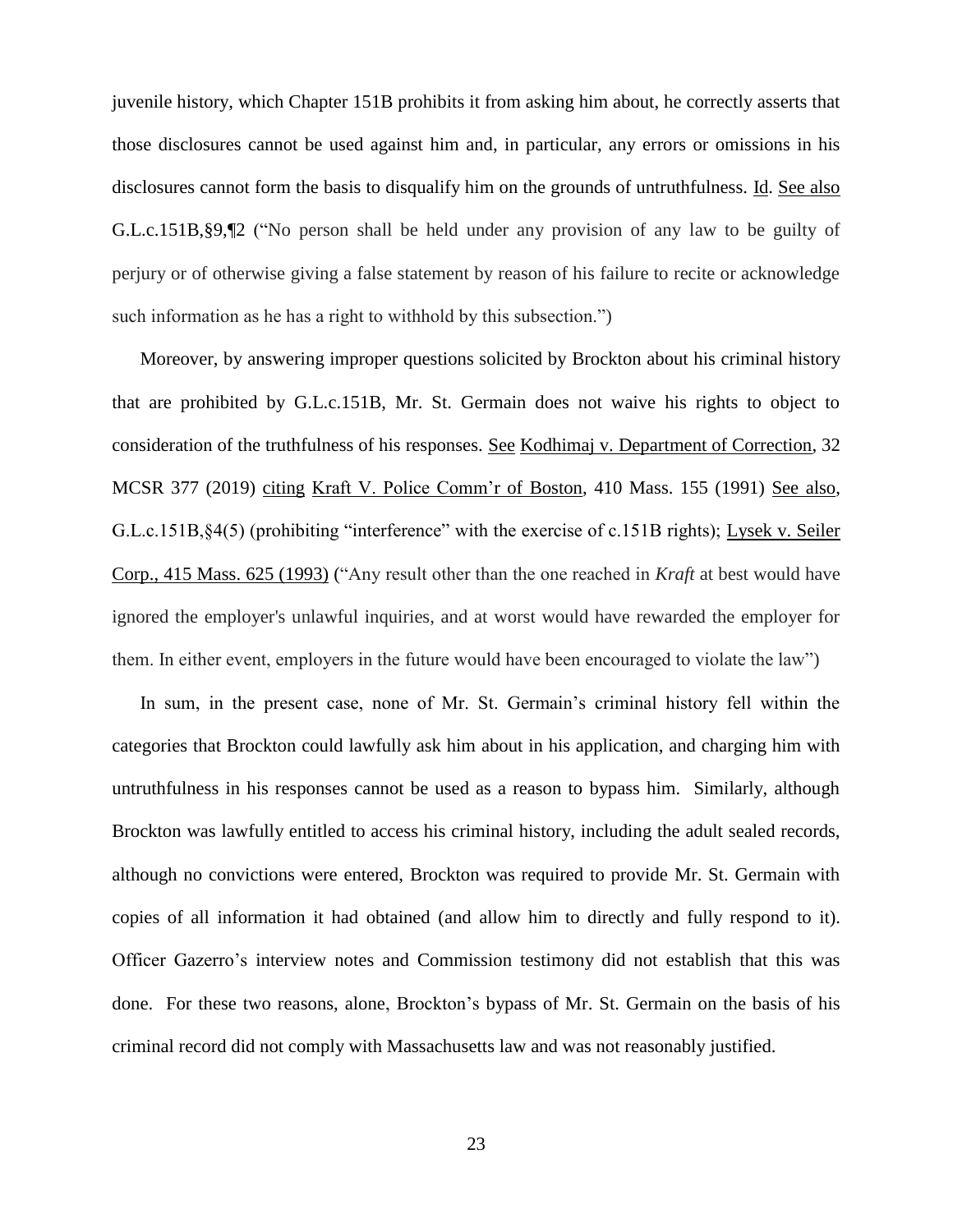juvenile history, which Chapter 151B prohibits it from asking him about, he correctly asserts that those disclosures cannot be used against him and, in particular, any errors or omissions in his disclosures cannot form the basis to disqualify him on the grounds of untruthfulness. Id. See also G.L.c.151B,§9,¶2 ("No person shall be held under any provision of any law to be guilty of perjury or of otherwise giving a false statement by reason of his failure to recite or acknowledge such information as he has a right to withhold by this subsection.")

Moreover, by answering improper questions solicited by Brockton about his criminal history that are prohibited by G.L.c.151B, Mr. St. Germain does not waive his rights to object to consideration of the truthfulness of his responses. See Kodhimaj v. Department of Correction, 32 MCSR 377 (2019) citing Kraft V. Police Comm'r of Boston, 410 Mass. 155 (1991) See also, G.L.c.151B,§4(5) (prohibiting "interference" with the exercise of c.151B rights); Lysek v. Seiler Corp., 415 Mass. 625 (1993) ("Any result other than the one reached in *Kraft* at best would have ignored the employer's unlawful inquiries, and at worst would have rewarded the employer for them. In either event, employers in the future would have been encouraged to violate the law")

In sum, in the present case, none of Mr. St. Germain's criminal history fell within the categories that Brockton could lawfully ask him about in his application, and charging him with untruthfulness in his responses cannot be used as a reason to bypass him. Similarly, although Brockton was lawfully entitled to access his criminal history, including the adult sealed records, although no convictions were entered, Brockton was required to provide Mr. St. Germain with copies of all information it had obtained (and allow him to directly and fully respond to it). Officer Gazerro's interview notes and Commission testimony did not establish that this was done. For these two reasons, alone, Brockton's bypass of Mr. St. Germain on the basis of his criminal record did not comply with Massachusetts law and was not reasonably justified.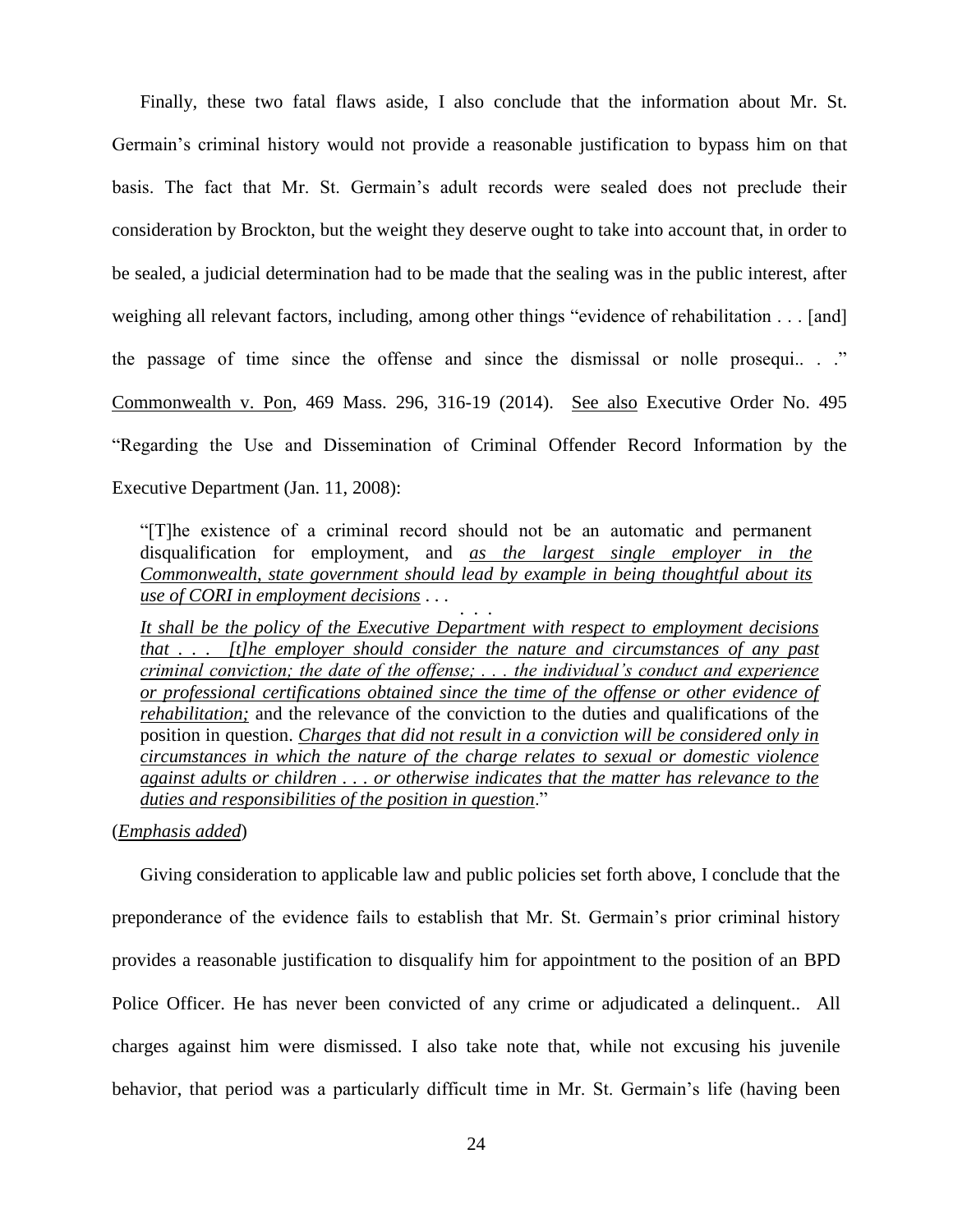Finally, these two fatal flaws aside, I also conclude that the information about Mr. St. Germain's criminal history would not provide a reasonable justification to bypass him on that basis. The fact that Mr. St. Germain's adult records were sealed does not preclude their consideration by Brockton, but the weight they deserve ought to take into account that, in order to be sealed, a judicial determination had to be made that the sealing was in the public interest, after weighing all relevant factors, including, among other things "evidence of rehabilitation . . . [and] the passage of time since the offense and since the dismissal or nolle prosequi.. . ." Commonwealth v. Pon, 469 Mass. 296, 316-19 (2014). See also Executive Order No. 495 "Regarding the Use and Dissemination of Criminal Offender Record Information by the Executive Department (Jan. 11, 2008):

"[T]he existence of a criminal record should not be an automatic and permanent disqualification for employment, and *as the largest single employer in the Commonwealth, state government should lead by example in being thoughtful about its use of CORI in employment decisions* . . . . . .

*It shall be the policy of the Executive Department with respect to employment decisions that . . . [t]he employer should consider the nature and circumstances of any past criminal conviction; the date of the offense; . . . the individual's conduct and experience or professional certifications obtained since the time of the offense or other evidence of rehabilitation;* and the relevance of the conviction to the duties and qualifications of the position in question. *Charges that did not result in a conviction will be considered only in circumstances in which the nature of the charge relates to sexual or domestic violence against adults or children . . . or otherwise indicates that the matter has relevance to the duties and responsibilities of the position in question*."

# (*Emphasis added*)

Giving consideration to applicable law and public policies set forth above, I conclude that the preponderance of the evidence fails to establish that Mr. St. Germain's prior criminal history provides a reasonable justification to disqualify him for appointment to the position of an BPD Police Officer. He has never been convicted of any crime or adjudicated a delinquent.. All charges against him were dismissed. I also take note that, while not excusing his juvenile behavior, that period was a particularly difficult time in Mr. St. Germain's life (having been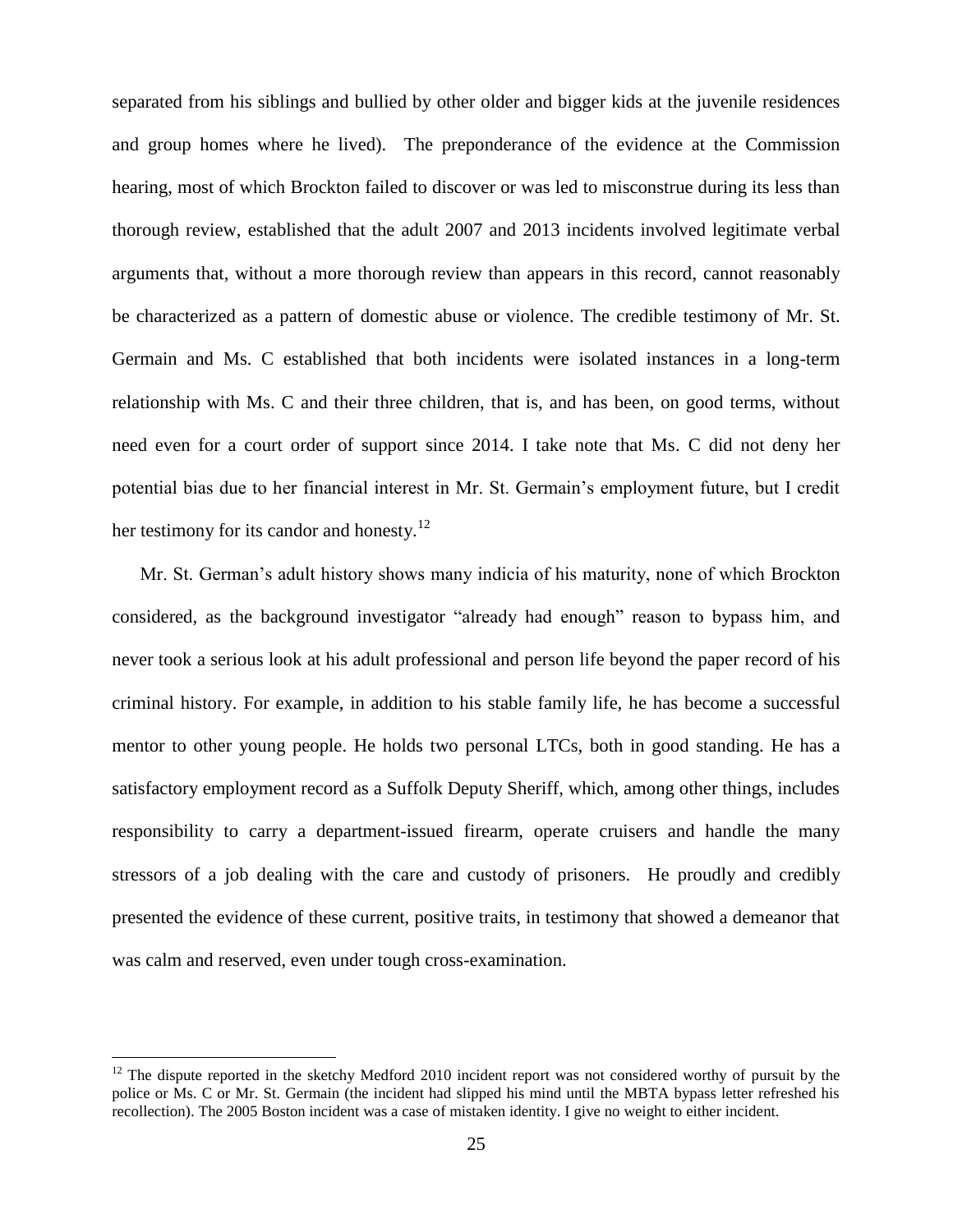separated from his siblings and bullied by other older and bigger kids at the juvenile residences and group homes where he lived). The preponderance of the evidence at the Commission hearing, most of which Brockton failed to discover or was led to misconstrue during its less than thorough review, established that the adult 2007 and 2013 incidents involved legitimate verbal arguments that, without a more thorough review than appears in this record, cannot reasonably be characterized as a pattern of domestic abuse or violence. The credible testimony of Mr. St. Germain and Ms. C established that both incidents were isolated instances in a long-term relationship with Ms. C and their three children, that is, and has been, on good terms, without need even for a court order of support since 2014. I take note that Ms. C did not deny her potential bias due to her financial interest in Mr. St. Germain's employment future, but I credit her testimony for its candor and honesty.<sup>12</sup>

Mr. St. German's adult history shows many indicia of his maturity, none of which Brockton considered, as the background investigator "already had enough" reason to bypass him, and never took a serious look at his adult professional and person life beyond the paper record of his criminal history. For example, in addition to his stable family life, he has become a successful mentor to other young people. He holds two personal LTCs, both in good standing. He has a satisfactory employment record as a Suffolk Deputy Sheriff, which, among other things, includes responsibility to carry a department-issued firearm, operate cruisers and handle the many stressors of a job dealing with the care and custody of prisoners. He proudly and credibly presented the evidence of these current, positive traits, in testimony that showed a demeanor that was calm and reserved, even under tough cross-examination.

 $\overline{a}$ 

 $12$  The dispute reported in the sketchy Medford 2010 incident report was not considered worthy of pursuit by the police or Ms. C or Mr. St. Germain (the incident had slipped his mind until the MBTA bypass letter refreshed his recollection). The 2005 Boston incident was a case of mistaken identity. I give no weight to either incident.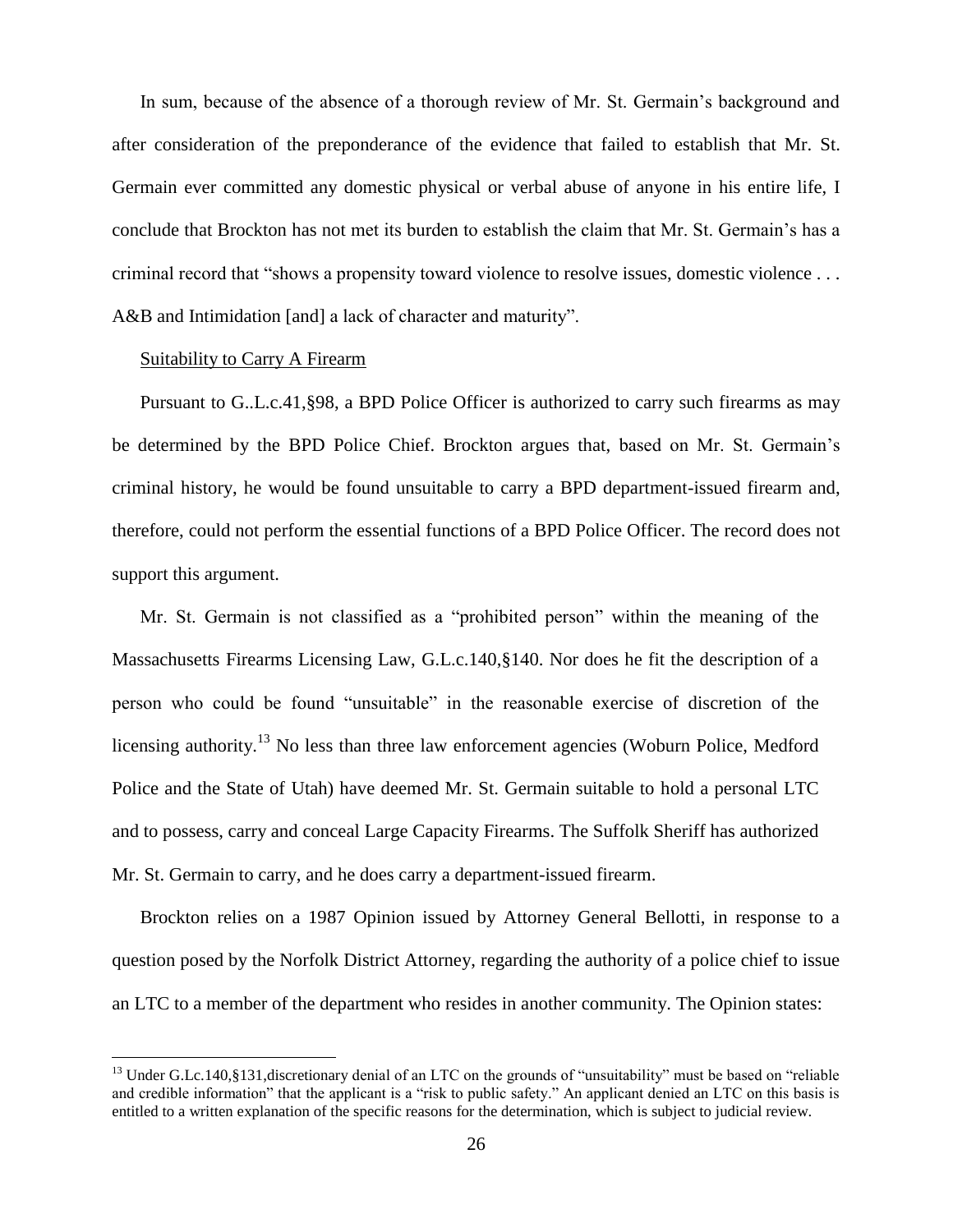In sum, because of the absence of a thorough review of Mr. St. Germain's background and after consideration of the preponderance of the evidence that failed to establish that Mr. St. Germain ever committed any domestic physical or verbal abuse of anyone in his entire life, I conclude that Brockton has not met its burden to establish the claim that Mr. St. Germain's has a criminal record that "shows a propensity toward violence to resolve issues, domestic violence . . . A&B and Intimidation [and] a lack of character and maturity".

# Suitability to Carry A Firearm

 $\overline{a}$ 

Pursuant to G..L.c.41,§98, a BPD Police Officer is authorized to carry such firearms as may be determined by the BPD Police Chief. Brockton argues that, based on Mr. St. Germain's criminal history, he would be found unsuitable to carry a BPD department-issued firearm and, therefore, could not perform the essential functions of a BPD Police Officer. The record does not support this argument.

Mr. St. Germain is not classified as a "prohibited person" within the meaning of the Massachusetts Firearms Licensing Law, G.L.c.140,§140. Nor does he fit the description of a person who could be found "unsuitable" in the reasonable exercise of discretion of the licensing authority.<sup>13</sup> No less than three law enforcement agencies (Woburn Police, Medford Police and the State of Utah) have deemed Mr. St. Germain suitable to hold a personal LTC and to possess, carry and conceal Large Capacity Firearms. The Suffolk Sheriff has authorized Mr. St. Germain to carry, and he does carry a department-issued firearm.

Brockton relies on a 1987 Opinion issued by Attorney General Bellotti, in response to a question posed by the Norfolk District Attorney, regarding the authority of a police chief to issue an LTC to a member of the department who resides in another community. The Opinion states:

<sup>&</sup>lt;sup>13</sup> Under G.Lc.140,§131,discretionary denial of an LTC on the grounds of "unsuitability" must be based on "reliable and credible information" that the applicant is a "risk to public safety." An applicant denied an LTC on this basis is entitled to a written explanation of the specific reasons for the determination, which is subject to judicial review.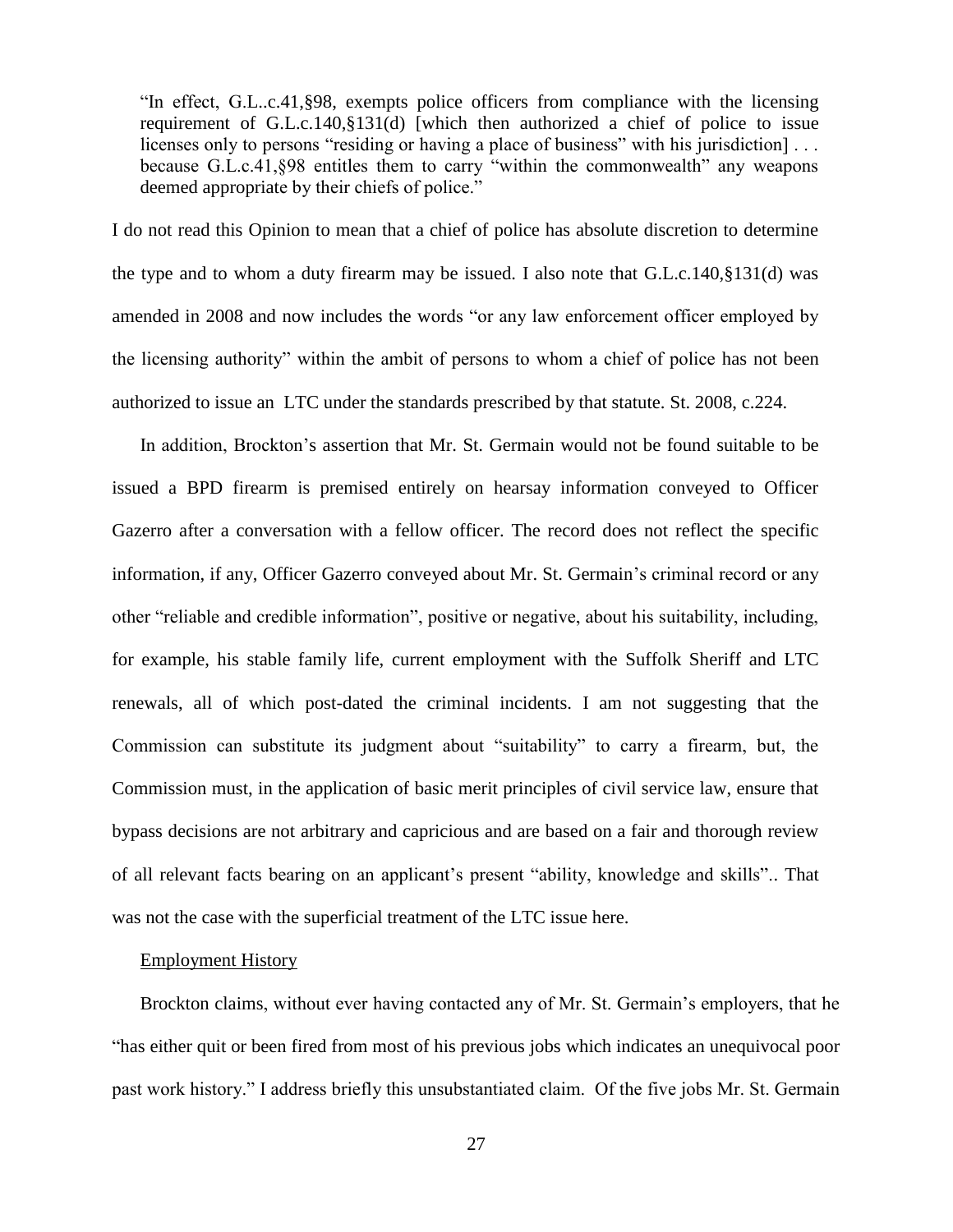"In effect, G.L..c.41,§98, exempts police officers from compliance with the licensing requirement of G.L.c.140,§131(d) [which then authorized a chief of police to issue licenses only to persons "residing or having a place of business" with his jurisdiction]... because G.L.c.41,§98 entitles them to carry "within the commonwealth" any weapons deemed appropriate by their chiefs of police."

I do not read this Opinion to mean that a chief of police has absolute discretion to determine the type and to whom a duty firearm may be issued. I also note that G.L.c.140,§131(d) was amended in 2008 and now includes the words "or any law enforcement officer employed by the licensing authority" within the ambit of persons to whom a chief of police has not been authorized to issue an LTC under the standards prescribed by that statute. St. 2008, c.224.

In addition, Brockton's assertion that Mr. St. Germain would not be found suitable to be issued a BPD firearm is premised entirely on hearsay information conveyed to Officer Gazerro after a conversation with a fellow officer. The record does not reflect the specific information, if any, Officer Gazerro conveyed about Mr. St. Germain's criminal record or any other "reliable and credible information", positive or negative, about his suitability, including, for example, his stable family life, current employment with the Suffolk Sheriff and LTC renewals, all of which post-dated the criminal incidents. I am not suggesting that the Commission can substitute its judgment about "suitability" to carry a firearm, but, the Commission must, in the application of basic merit principles of civil service law, ensure that bypass decisions are not arbitrary and capricious and are based on a fair and thorough review of all relevant facts bearing on an applicant's present "ability, knowledge and skills".. That was not the case with the superficial treatment of the LTC issue here.

#### Employment History

Brockton claims, without ever having contacted any of Mr. St. Germain's employers, that he "has either quit or been fired from most of his previous jobs which indicates an unequivocal poor past work history." I address briefly this unsubstantiated claim. Of the five jobs Mr. St. Germain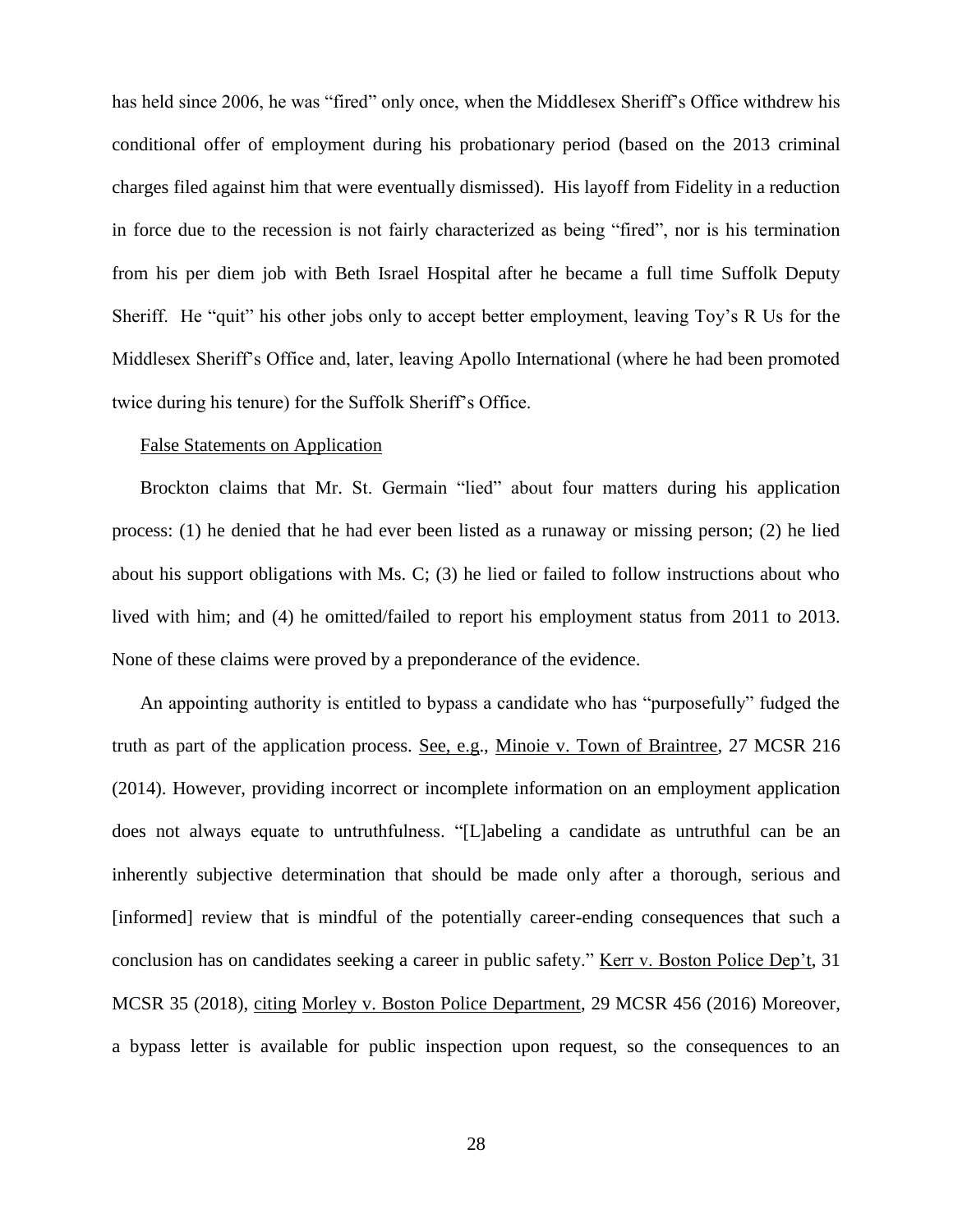has held since 2006, he was "fired" only once, when the Middlesex Sheriff's Office withdrew his conditional offer of employment during his probationary period (based on the 2013 criminal charges filed against him that were eventually dismissed). His layoff from Fidelity in a reduction in force due to the recession is not fairly characterized as being "fired", nor is his termination from his per diem job with Beth Israel Hospital after he became a full time Suffolk Deputy Sheriff. He "quit" his other jobs only to accept better employment, leaving Toy's R Us for the Middlesex Sheriff's Office and, later, leaving Apollo International (where he had been promoted twice during his tenure) for the Suffolk Sheriff's Office.

# False Statements on Application

Brockton claims that Mr. St. Germain "lied" about four matters during his application process: (1) he denied that he had ever been listed as a runaway or missing person; (2) he lied about his support obligations with Ms. C; (3) he lied or failed to follow instructions about who lived with him; and (4) he omitted/failed to report his employment status from 2011 to 2013. None of these claims were proved by a preponderance of the evidence.

An appointing authority is entitled to bypass a candidate who has "purposefully" fudged the truth as part of the application process. See, e.g., Minoie v. Town of Braintree, 27 MCSR 216 (2014). However, providing incorrect or incomplete information on an employment application does not always equate to untruthfulness. "[L]abeling a candidate as untruthful can be an inherently subjective determination that should be made only after a thorough, serious and [informed] review that is mindful of the potentially career-ending consequences that such a conclusion has on candidates seeking a career in public safety." Kerr v. Boston Police Dep't, 31 MCSR 35 (2018), citing Morley v. Boston Police Department, 29 MCSR 456 (2016) Moreover, a bypass letter is available for public inspection upon request, so the consequences to an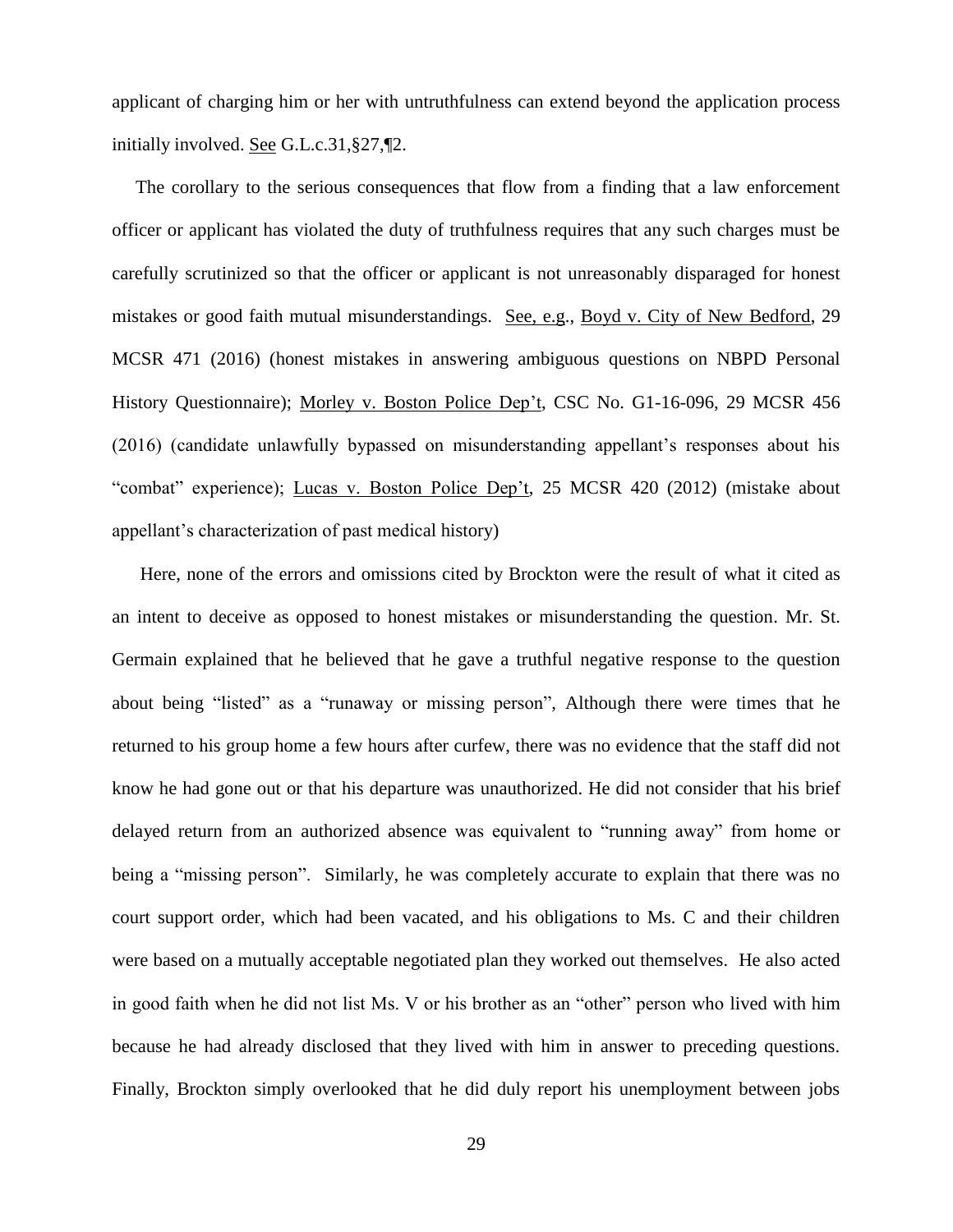applicant of charging him or her with untruthfulness can extend beyond the application process initially involved. See G.L.c.31,§27,¶2.

The corollary to the serious consequences that flow from a finding that a law enforcement officer or applicant has violated the duty of truthfulness requires that any such charges must be carefully scrutinized so that the officer or applicant is not unreasonably disparaged for honest mistakes or good faith mutual misunderstandings. See, e.g., Boyd v. City of New Bedford, 29 MCSR 471 (2016) (honest mistakes in answering ambiguous questions on NBPD Personal History Questionnaire); Morley v. Boston Police Dep't, CSC No. G1-16-096, 29 MCSR 456 (2016) (candidate unlawfully bypassed on misunderstanding appellant's responses about his "combat" experience); Lucas v. Boston Police Dep't, 25 MCSR 420 (2012) (mistake about appellant's characterization of past medical history)

Here, none of the errors and omissions cited by Brockton were the result of what it cited as an intent to deceive as opposed to honest mistakes or misunderstanding the question. Mr. St. Germain explained that he believed that he gave a truthful negative response to the question about being "listed" as a "runaway or missing person", Although there were times that he returned to his group home a few hours after curfew, there was no evidence that the staff did not know he had gone out or that his departure was unauthorized. He did not consider that his brief delayed return from an authorized absence was equivalent to "running away" from home or being a "missing person". Similarly, he was completely accurate to explain that there was no court support order, which had been vacated, and his obligations to Ms. C and their children were based on a mutually acceptable negotiated plan they worked out themselves. He also acted in good faith when he did not list Ms. V or his brother as an "other" person who lived with him because he had already disclosed that they lived with him in answer to preceding questions. Finally, Brockton simply overlooked that he did duly report his unemployment between jobs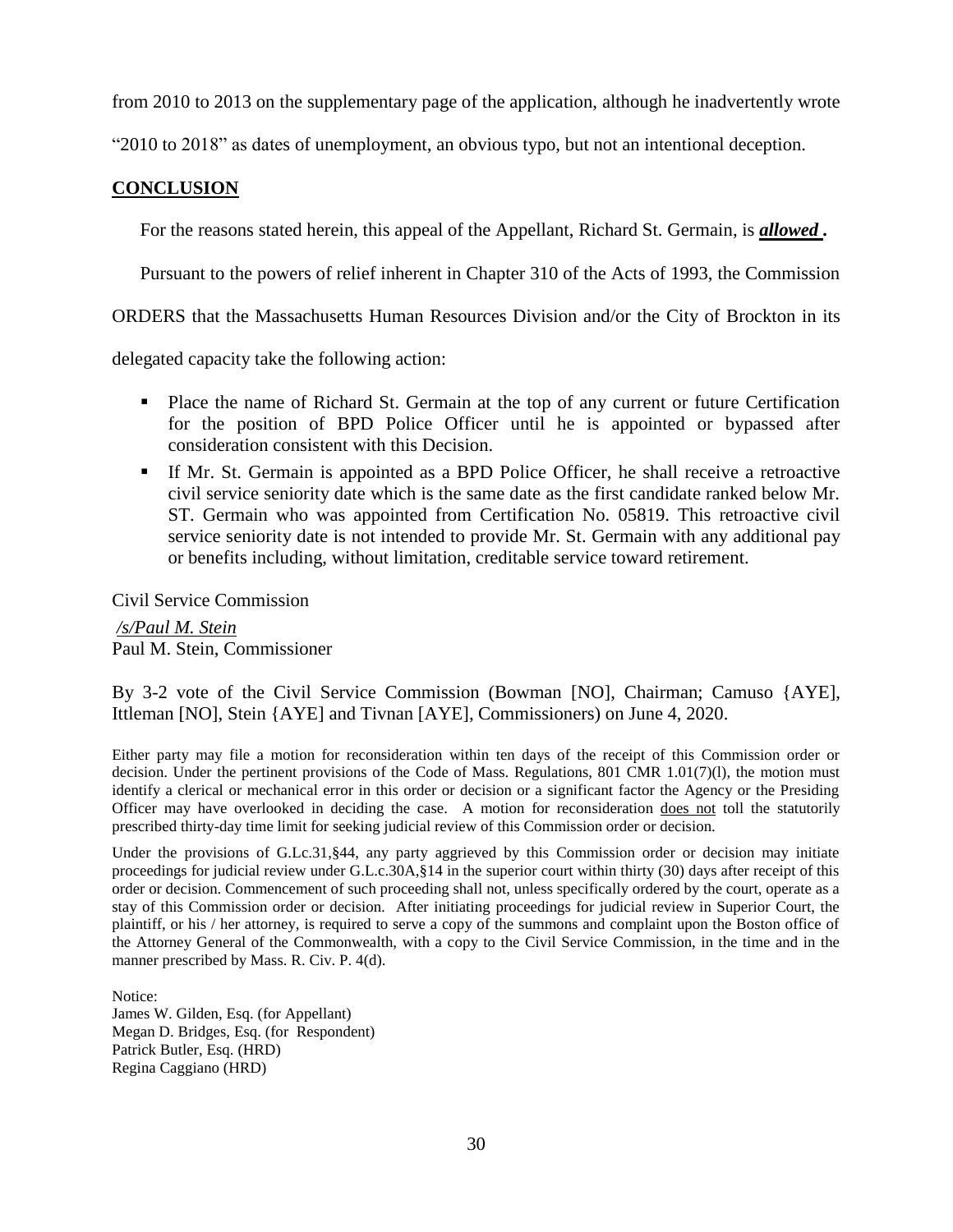from 2010 to 2013 on the supplementary page of the application, although he inadvertently wrote

"2010 to 2018" as dates of unemployment, an obvious typo, but not an intentional deception.

# **CONCLUSION**

For the reasons stated herein, this appeal of the Appellant, Richard St. Germain, is *allowed .*

Pursuant to the powers of relief inherent in Chapter 310 of the Acts of 1993, the Commission

ORDERS that the Massachusetts Human Resources Division and/or the City of Brockton in its

delegated capacity take the following action:

- **Place the name of Richard St. Germain at the top of any current or future Certification** for the position of BPD Police Officer until he is appointed or bypassed after consideration consistent with this Decision.
- If Mr. St. Germain is appointed as a BPD Police Officer, he shall receive a retroactive civil service seniority date which is the same date as the first candidate ranked below Mr. ST. Germain who was appointed from Certification No. 05819. This retroactive civil service seniority date is not intended to provide Mr. St. Germain with any additional pay or benefits including, without limitation, creditable service toward retirement.

Civil Service Commission

*/s/Paul M. Stein*  Paul M. Stein, Commissioner

By 3-2 vote of the Civil Service Commission (Bowman [NO], Chairman; Camuso {AYE], Ittleman [NO], Stein {AYE] and Tivnan [AYE], Commissioners) on June 4, 2020.

Either party may file a motion for reconsideration within ten days of the receipt of this Commission order or decision. Under the pertinent provisions of the Code of Mass. Regulations, 801 CMR 1.01(7)(l), the motion must identify a clerical or mechanical error in this order or decision or a significant factor the Agency or the Presiding Officer may have overlooked in deciding the case. A motion for reconsideration does not toll the statutorily prescribed thirty-day time limit for seeking judicial review of this Commission order or decision.

Under the provisions of G.Lc.31, §44, any party aggrieved by this Commission order or decision may initiate proceedings for judicial review under G.L.c.30A,§14 in the superior court within thirty (30) days after receipt of this order or decision. Commencement of such proceeding shall not, unless specifically ordered by the court, operate as a stay of this Commission order or decision. After initiating proceedings for judicial review in Superior Court, the plaintiff, or his / her attorney, is required to serve a copy of the summons and complaint upon the Boston office of the Attorney General of the Commonwealth, with a copy to the Civil Service Commission, in the time and in the manner prescribed by Mass. R. Civ. P. 4(d).

Notice: James W. Gilden, Esq. (for Appellant) Megan D. Bridges, Esq. (for Respondent) Patrick Butler, Esq. (HRD) Regina Caggiano (HRD)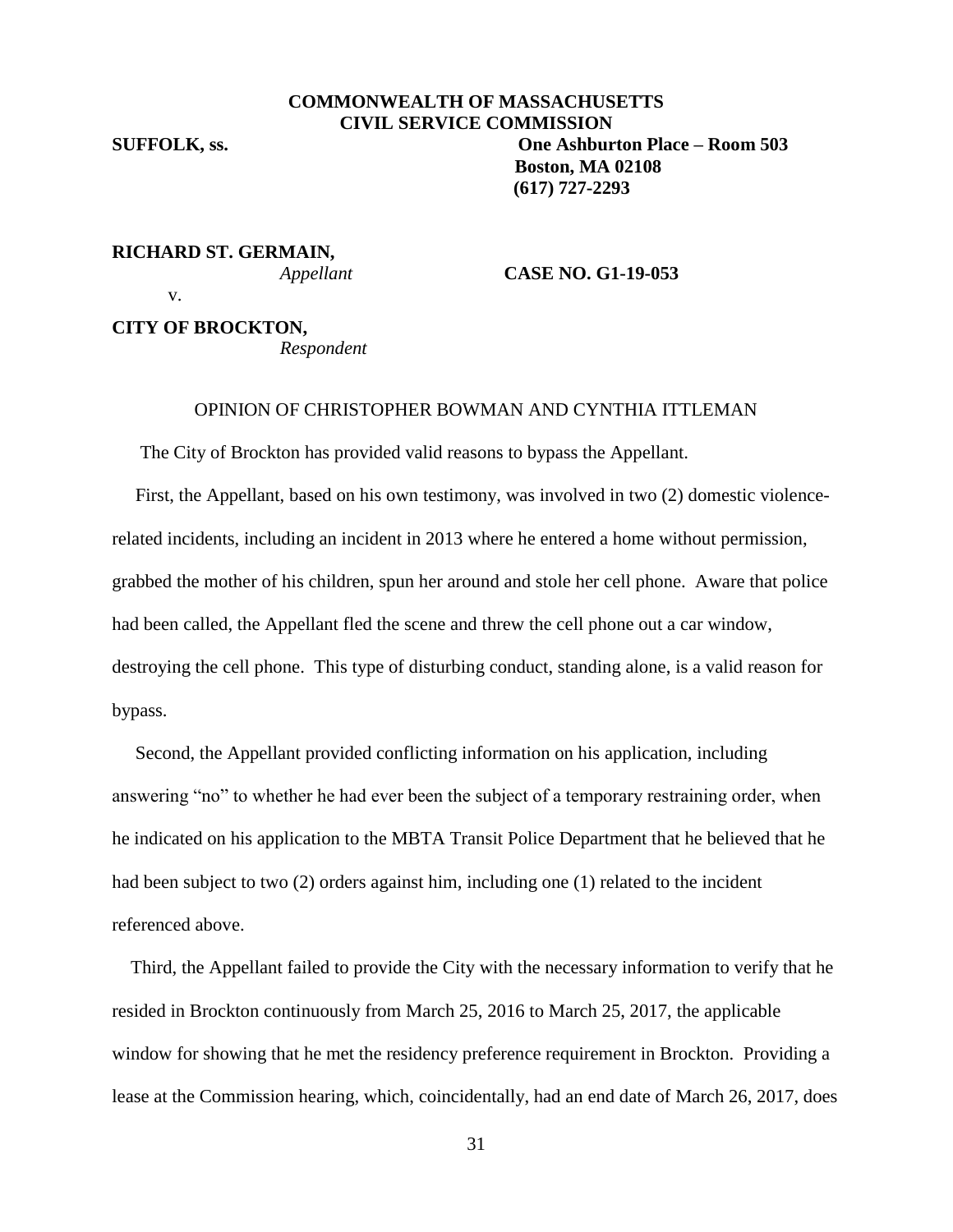v.

# **COMMONWEALTH OF MASSACHUSETTS CIVIL SERVICE COMMISSION SUFFOLK, ss. One Ashburton Place – Room 503 Boston, MA 02108 (617) 727-2293**

# **RICHARD ST. GERMAIN,**

*Appellant* **CASE NO. G1-19-053**

**CITY OF BROCKTON,**

*Respondent*

## OPINION OF CHRISTOPHER BOWMAN AND CYNTHIA ITTLEMAN

The City of Brockton has provided valid reasons to bypass the Appellant.

 First, the Appellant, based on his own testimony, was involved in two (2) domestic violencerelated incidents, including an incident in 2013 where he entered a home without permission, grabbed the mother of his children, spun her around and stole her cell phone. Aware that police had been called, the Appellant fled the scene and threw the cell phone out a car window, destroying the cell phone. This type of disturbing conduct, standing alone, is a valid reason for bypass.

 Second, the Appellant provided conflicting information on his application, including answering "no" to whether he had ever been the subject of a temporary restraining order, when he indicated on his application to the MBTA Transit Police Department that he believed that he had been subject to two (2) orders against him, including one (1) related to the incident referenced above.

 Third, the Appellant failed to provide the City with the necessary information to verify that he resided in Brockton continuously from March 25, 2016 to March 25, 2017, the applicable window for showing that he met the residency preference requirement in Brockton. Providing a lease at the Commission hearing, which, coincidentally, had an end date of March 26, 2017, does